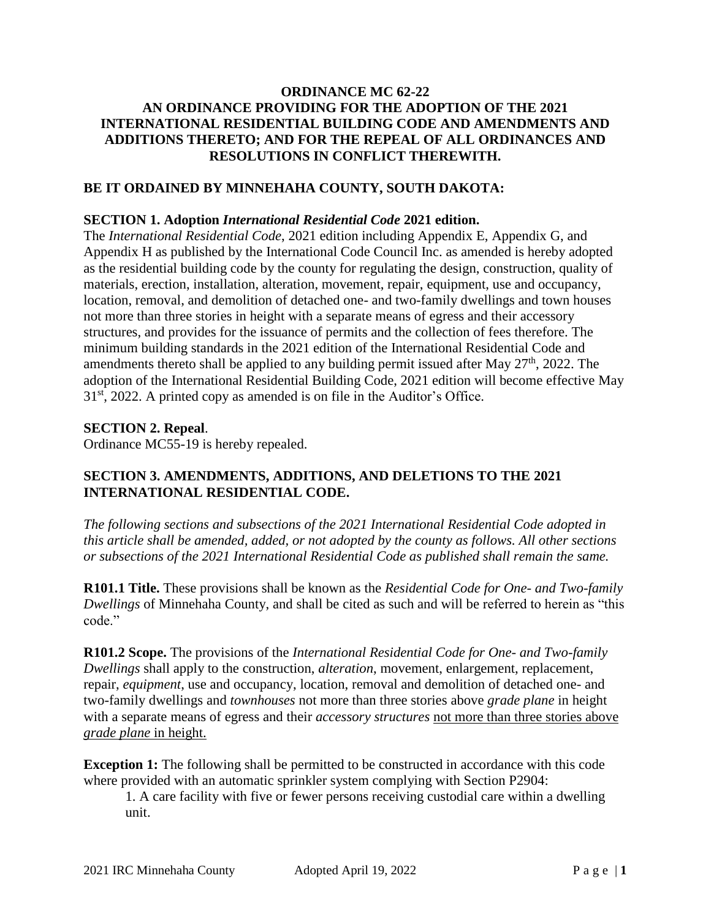### **ORDINANCE MC 62-22 AN ORDINANCE PROVIDING FOR THE ADOPTION OF THE 2021 INTERNATIONAL RESIDENTIAL BUILDING CODE AND AMENDMENTS AND ADDITIONS THERETO; AND FOR THE REPEAL OF ALL ORDINANCES AND RESOLUTIONS IN CONFLICT THEREWITH.**

### **BE IT ORDAINED BY MINNEHAHA COUNTY, SOUTH DAKOTA:**

#### **SECTION 1. Adoption** *International Residential Code* **2021 edition.**

The *International Residential Code*, 2021 edition including Appendix E, Appendix G, and Appendix H as published by the International Code Council Inc. as amended is hereby adopted as the residential building code by the county for regulating the design, construction, quality of materials, erection, installation, alteration, movement, repair, equipment, use and occupancy, location, removal, and demolition of detached one- and two-family dwellings and town houses not more than three stories in height with a separate means of egress and their accessory structures, and provides for the issuance of permits and the collection of fees therefore. The minimum building standards in the 2021 edition of the International Residential Code and amendments thereto shall be applied to any building permit issued after May  $27<sup>th</sup>$ , 2022. The adoption of the International Residential Building Code, 2021 edition will become effective May  $31<sup>st</sup>$ , 2022. A printed copy as amended is on file in the Auditor's Office.

#### **SECTION 2. Repeal**.

Ordinance MC55-19 is hereby repealed.

### **SECTION 3. AMENDMENTS, ADDITIONS, AND DELETIONS TO THE 2021 INTERNATIONAL RESIDENTIAL CODE.**

*The following sections and subsections of the 2021 International Residential Code adopted in this article shall be amended, added, or not adopted by the county as follows. All other sections or subsections of the 2021 International Residential Code as published shall remain the same.*

**R101.1 Title.** These provisions shall be known as the *Residential Code for One- and Two-family Dwellings* of Minnehaha County, and shall be cited as such and will be referred to herein as "this code."

**R101.2 Scope.** The provisions of the *International Residential Code for One- and Two-family Dwellings* shall apply to the construction, *alteration*, movement, enlargement, replacement, repair, *equipment*, use and occupancy, location, removal and demolition of detached one- and two-family dwellings and *townhouses* not more than three stories above *grade plane* in height with a separate means of egress and their *accessory structures* not more than three stories above *grade plane* in height.

**Exception 1:** The following shall be permitted to be constructed in accordance with this code where provided with an automatic sprinkler system complying with Section P2904:

1. A care facility with five or fewer persons receiving custodial care within a dwelling unit.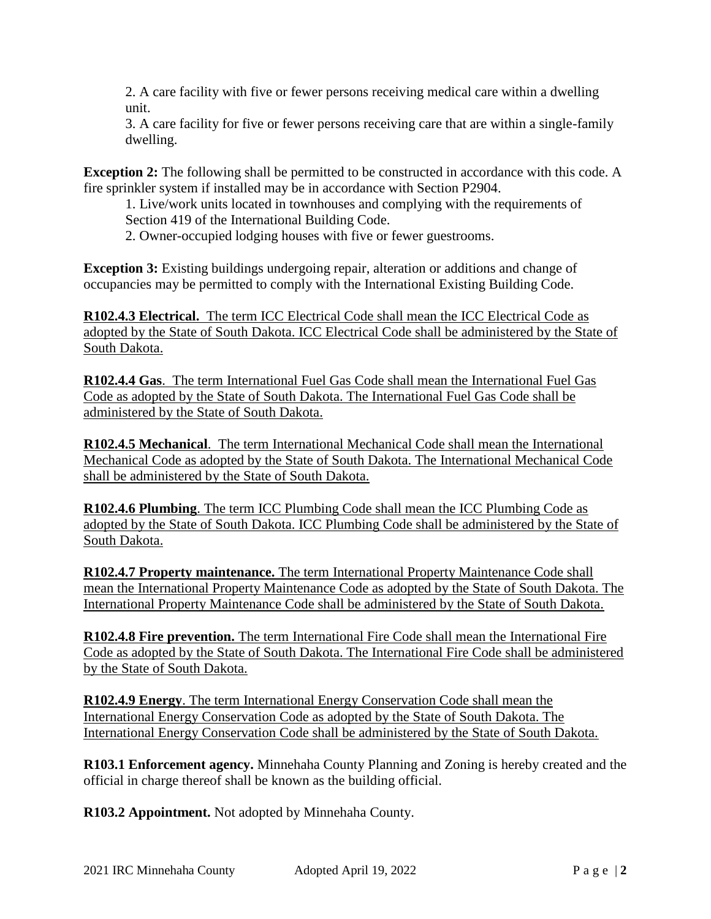2. A care facility with five or fewer persons receiving medical care within a dwelling unit.

3. A care facility for five or fewer persons receiving care that are within a single-family dwelling.

**Exception 2:** The following shall be permitted to be constructed in accordance with this code. A fire sprinkler system if installed may be in accordance with Section P2904.

1. Live/work units located in townhouses and complying with the requirements of Section 419 of the International Building Code.

2. Owner-occupied lodging houses with five or fewer guestrooms.

**Exception 3:** Existing buildings undergoing repair, alteration or additions and change of occupancies may be permitted to comply with the International Existing Building Code.

**R102.4.3 Electrical.** The term ICC Electrical Code shall mean the ICC Electrical Code as adopted by the State of South Dakota. ICC Electrical Code shall be administered by the State of South Dakota.

**R102.4.4 Gas**. The term International Fuel Gas Code shall mean the International Fuel Gas Code as adopted by the State of South Dakota. The International Fuel Gas Code shall be administered by the State of South Dakota.

**R102.4.5 Mechanical**. The term International Mechanical Code shall mean the International Mechanical Code as adopted by the State of South Dakota. The International Mechanical Code shall be administered by the State of South Dakota.

**R102.4.6 Plumbing**. The term ICC Plumbing Code shall mean the ICC Plumbing Code as adopted by the State of South Dakota. ICC Plumbing Code shall be administered by the State of South Dakota.

**R102.4.7 Property maintenance.** The term International Property Maintenance Code shall mean the International Property Maintenance Code as adopted by the State of South Dakota. The International Property Maintenance Code shall be administered by the State of South Dakota.

**R102.4.8 Fire prevention.** The term International Fire Code shall mean the International Fire Code as adopted by the State of South Dakota. The International Fire Code shall be administered by the State of South Dakota.

**R102.4.9 Energy**. The term International Energy Conservation Code shall mean the International Energy Conservation Code as adopted by the State of South Dakota. The International Energy Conservation Code shall be administered by the State of South Dakota.

**R103.1 Enforcement agency.** Minnehaha County Planning and Zoning is hereby created and the official in charge thereof shall be known as the building official.

**R103.2 Appointment.** Not adopted by Minnehaha County.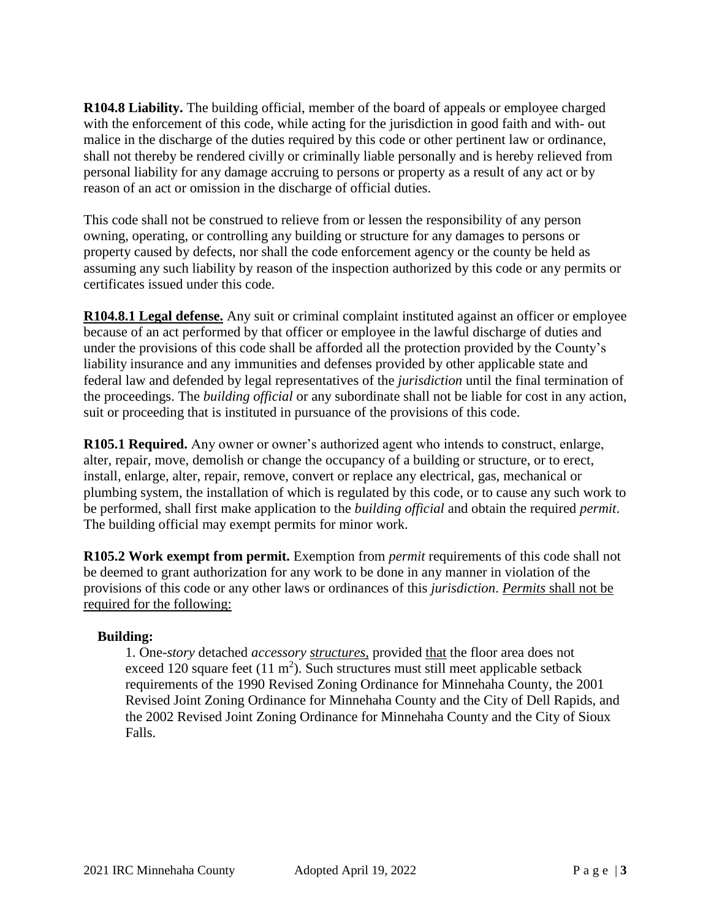**R104.8 Liability.** The building official, member of the board of appeals or employee charged with the enforcement of this code, while acting for the jurisdiction in good faith and with- out malice in the discharge of the duties required by this code or other pertinent law or ordinance, shall not thereby be rendered civilly or criminally liable personally and is hereby relieved from personal liability for any damage accruing to persons or property as a result of any act or by reason of an act or omission in the discharge of official duties.

This code shall not be construed to relieve from or lessen the responsibility of any person owning, operating, or controlling any building or structure for any damages to persons or property caused by defects, nor shall the code enforcement agency or the county be held as assuming any such liability by reason of the inspection authorized by this code or any permits or certificates issued under this code.

**R104.8.1 Legal defense.** Any suit or criminal complaint instituted against an officer or employee because of an act performed by that officer or employee in the lawful discharge of duties and under the provisions of this code shall be afforded all the protection provided by the County's liability insurance and any immunities and defenses provided by other applicable state and federal law and defended by legal representatives of the *jurisdiction* until the final termination of the proceedings. The *building official* or any subordinate shall not be liable for cost in any action, suit or proceeding that is instituted in pursuance of the provisions of this code.

**R105.1 Required.** Any owner or owner's authorized agent who intends to construct, enlarge, alter, repair, move, demolish or change the occupancy of a building or structure, or to erect, install, enlarge, alter, repair, remove, convert or replace any electrical, gas, mechanical or plumbing system, the installation of which is regulated by this code, or to cause any such work to be performed, shall first make application to the *building official* and obtain the required *permit*. The building official may exempt permits for minor work.

**R105.2 Work exempt from permit.** Exemption from *permit* requirements of this code shall not be deemed to grant authorization for any work to be done in any manner in violation of the provisions of this code or any other laws or ordinances of this *jurisdiction*. *Permits* shall not be required for the following:

#### **Building:**

1. One-*story* detached *accessory structures,* provided that the floor area does not exceed 120 square feet  $(11 \text{ m}^2)$ . Such structures must still meet applicable setback requirements of the 1990 Revised Zoning Ordinance for Minnehaha County, the 2001 Revised Joint Zoning Ordinance for Minnehaha County and the City of Dell Rapids, and the 2002 Revised Joint Zoning Ordinance for Minnehaha County and the City of Sioux Falls.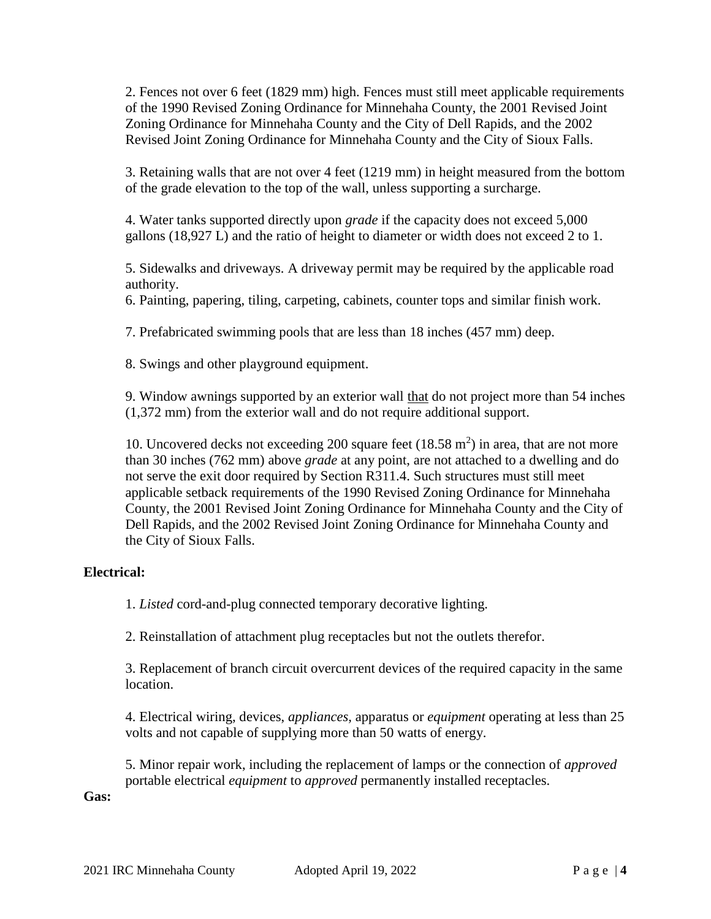2. Fences not over 6 feet (1829 mm) high. Fences must still meet applicable requirements of the 1990 Revised Zoning Ordinance for Minnehaha County, the 2001 Revised Joint Zoning Ordinance for Minnehaha County and the City of Dell Rapids, and the 2002 Revised Joint Zoning Ordinance for Minnehaha County and the City of Sioux Falls.

3. Retaining walls that are not over 4 feet (1219 mm) in height measured from the bottom of the grade elevation to the top of the wall, unless supporting a surcharge.

4. Water tanks supported directly upon *grade* if the capacity does not exceed 5,000 gallons (18,927 L) and the ratio of height to diameter or width does not exceed 2 to 1.

5. Sidewalks and driveways. A driveway permit may be required by the applicable road authority.

6. Painting, papering, tiling, carpeting, cabinets, counter tops and similar finish work.

7. Prefabricated swimming pools that are less than 18 inches (457 mm) deep.

8. Swings and other playground equipment.

9. Window awnings supported by an exterior wall that do not project more than 54 inches (1,372 mm) from the exterior wall and do not require additional support.

10. Uncovered decks not exceeding 200 square feet  $(18.58 \text{ m}^2)$  in area, that are not more than 30 inches (762 mm) above *grade* at any point, are not attached to a dwelling and do not serve the exit door required by Section R311.4. Such structures must still meet applicable setback requirements of the 1990 Revised Zoning Ordinance for Minnehaha County, the 2001 Revised Joint Zoning Ordinance for Minnehaha County and the City of Dell Rapids, and the 2002 Revised Joint Zoning Ordinance for Minnehaha County and the City of Sioux Falls.

#### **Electrical:**

1. *Listed* cord-and-plug connected temporary decorative lighting.

2. Reinstallation of attachment plug receptacles but not the outlets therefor.

3. Replacement of branch circuit overcurrent devices of the required capacity in the same location.

4. Electrical wiring, devices, *appliances,* apparatus or *equipment* operating at less than 25 volts and not capable of supplying more than 50 watts of energy.

5. Minor repair work, including the replacement of lamps or the connection of *approved*  portable electrical *equipment* to *approved* permanently installed receptacles.

**Gas:**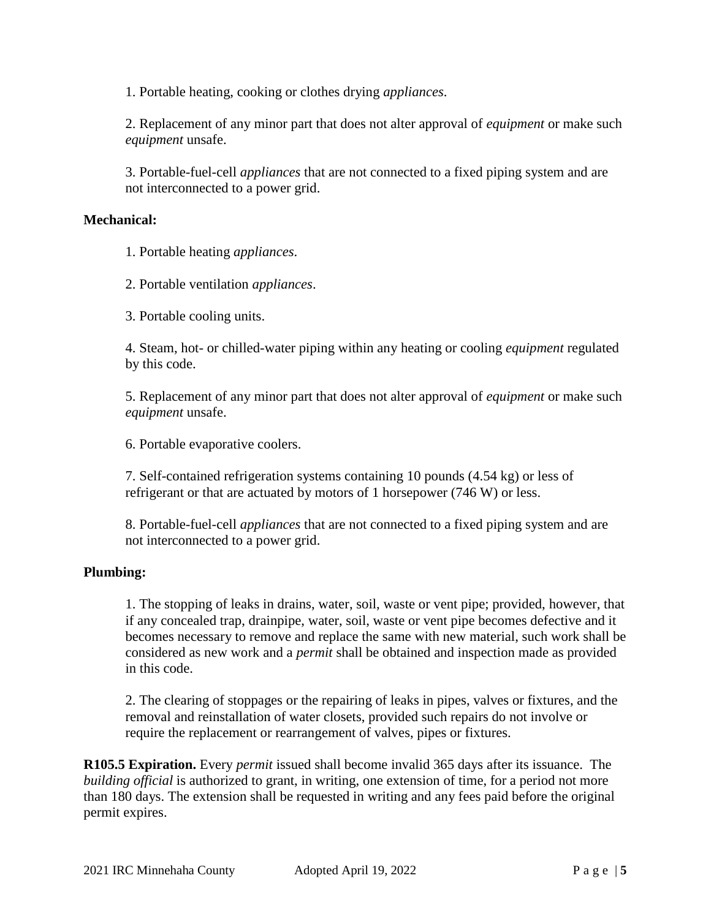1. Portable heating, cooking or clothes drying *appliances*.

2. Replacement of any minor part that does not alter approval of *equipment* or make such *equipment* unsafe.

3. Portable-fuel-cell *appliances* that are not connected to a fixed piping system and are not interconnected to a power grid.

#### **Mechanical:**

1. Portable heating *appliances*.

2. Portable ventilation *appliances*.

3. Portable cooling units.

4. Steam, hot- or chilled-water piping within any heating or cooling *equipment* regulated by this code.

5. Replacement of any minor part that does not alter approval of *equipment* or make such *equipment* unsafe.

6. Portable evaporative coolers.

7. Self-contained refrigeration systems containing 10 pounds (4.54 kg) or less of refrigerant or that are actuated by motors of 1 horsepower (746 W) or less.

8. Portable-fuel-cell *appliances* that are not connected to a fixed piping system and are not interconnected to a power grid.

#### **Plumbing:**

1. The stopping of leaks in drains, water, soil, waste or vent pipe; provided, however, that if any concealed trap, drainpipe, water, soil, waste or vent pipe becomes defective and it becomes necessary to remove and replace the same with new material, such work shall be considered as new work and a *permit* shall be obtained and inspection made as provided in this code.

2. The clearing of stoppages or the repairing of leaks in pipes, valves or fixtures, and the removal and reinstallation of water closets, provided such repairs do not involve or require the replacement or rearrangement of valves, pipes or fixtures.

**R105.5 Expiration.** Every *permit* issued shall become invalid 365 days after its issuance. The *building official* is authorized to grant, in writing, one extension of time, for a period not more than 180 days. The extension shall be requested in writing and any fees paid before the original permit expires.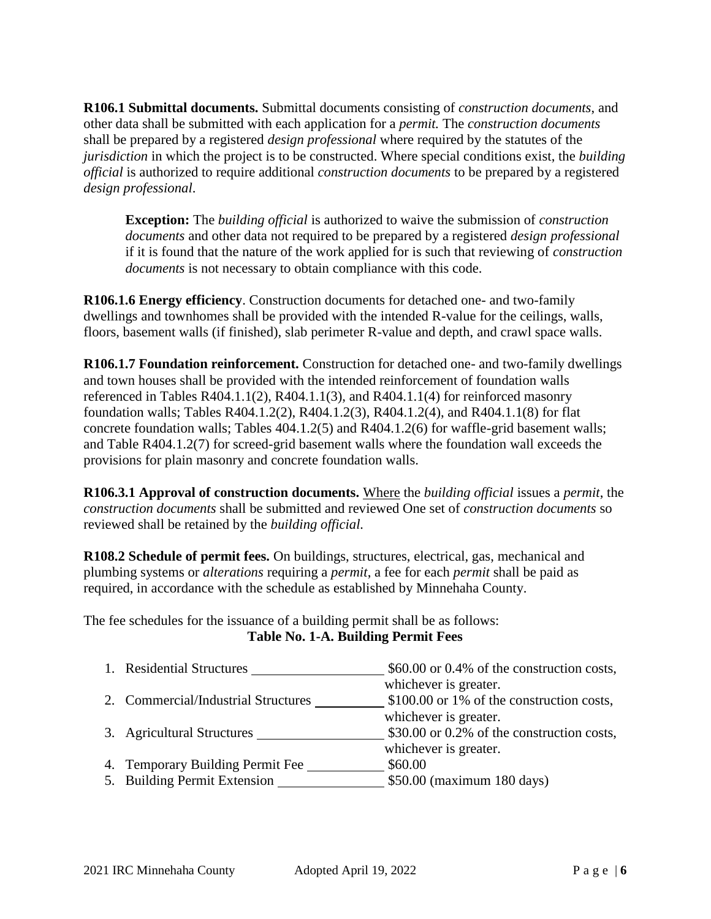**R106.1 Submittal documents.** Submittal documents consisting of *construction documents*, and other data shall be submitted with each application for a *permit.* The *construction documents*  shall be prepared by a registered *design professional* where required by the statutes of the *jurisdiction* in which the project is to be constructed. Where special conditions exist, the *building official* is authorized to require additional *construction documents* to be prepared by a registered *design professional*.

**Exception:** The *building official* is authorized to waive the submission of *construction documents* and other data not required to be prepared by a registered *design professional* if it is found that the nature of the work applied for is such that reviewing of *construction documents* is not necessary to obtain compliance with this code.

**R106.1.6 Energy efficiency**. Construction documents for detached one- and two-family dwellings and townhomes shall be provided with the intended R-value for the ceilings, walls, floors, basement walls (if finished), slab perimeter R-value and depth, and crawl space walls.

**R106.1.7 Foundation reinforcement.** Construction for detached one- and two-family dwellings and town houses shall be provided with the intended reinforcement of foundation walls referenced in Tables R404.1.1(2), R404.1.1(3), and R404.1.1(4) for reinforced masonry foundation walls; Tables R404.1.2(2), R404.1.2(3), R404.1.2(4), and R404.1.1(8) for flat concrete foundation walls; Tables 404.1.2(5) and R404.1.2(6) for waffle-grid basement walls; and Table R404.1.2(7) for screed-grid basement walls where the foundation wall exceeds the provisions for plain masonry and concrete foundation walls.

**R106.3.1 Approval of construction documents.** Where the *building official* issues a *permit*, the *construction documents* shall be submitted and reviewed One set of *construction documents* so reviewed shall be retained by the *building official.*

**R108.2 Schedule of permit fees.** On buildings, structures, electrical, gas, mechanical and plumbing systems or *alterations* requiring a *permit*, a fee for each *permit* shall be paid as required, in accordance with the schedule as established by Minnehaha County.

The fee schedules for the issuance of a building permit shall be as follows: **Table No. 1-A. Building Permit Fees**

| 1. Residential Structures           | $$60.00$ or 0.4% of the construction costs,                         |
|-------------------------------------|---------------------------------------------------------------------|
| 2. Commercial/Industrial Structures | whichever is greater.<br>\$100.00 or 1% of the construction costs,  |
| 3. Agricultural Structures          | whichever is greater.<br>\$30.00 or 0.2% of the construction costs, |
|                                     | whichever is greater.                                               |
| 4. Temporary Building Permit Fee    | \$60.00                                                             |
| 5. Building Permit Extension        | \$50.00 (maximum 180 days)                                          |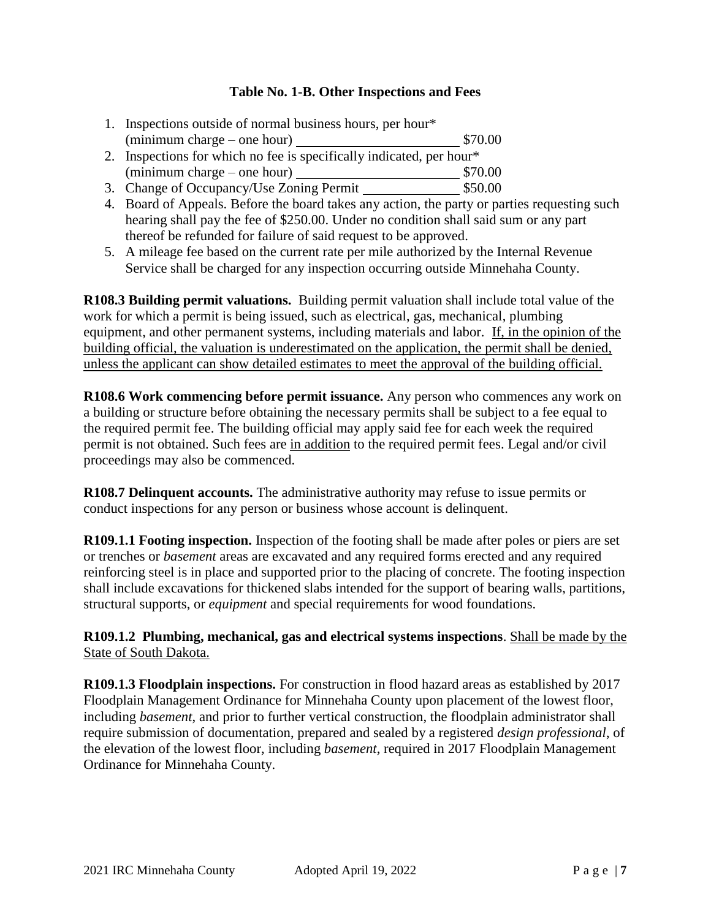#### **Table No. 1-B. Other Inspections and Fees**

- 1. Inspections outside of normal business hours, per hour\* (minimum charge – one hour) \$70.00
- 2. Inspections for which no fee is specifically indicated, per hour\*  $(\text{minimum charge} - \text{one hour})$  \$70.00
- 3. Change of Occupancy/Use Zoning Permit  $$50.00$
- 4. Board of Appeals. Before the board takes any action, the party or parties requesting such hearing shall pay the fee of \$250.00. Under no condition shall said sum or any part thereof be refunded for failure of said request to be approved.
- 5. A mileage fee based on the current rate per mile authorized by the Internal Revenue Service shall be charged for any inspection occurring outside Minnehaha County.

**R108.3 Building permit valuations.** Building permit valuation shall include total value of the work for which a permit is being issued, such as electrical, gas, mechanical, plumbing equipment, and other permanent systems, including materials and labor. If, in the opinion of the building official, the valuation is underestimated on the application, the permit shall be denied, unless the applicant can show detailed estimates to meet the approval of the building official.

**R108.6 Work commencing before permit issuance.** Any person who commences any work on a building or structure before obtaining the necessary permits shall be subject to a fee equal to the required permit fee. The building official may apply said fee for each week the required permit is not obtained. Such fees are in addition to the required permit fees. Legal and/or civil proceedings may also be commenced.

**R108.7 Delinquent accounts.** The administrative authority may refuse to issue permits or conduct inspections for any person or business whose account is delinquent.

**R109.1.1 Footing inspection.** Inspection of the footing shall be made after poles or piers are set or trenches or *basement* areas are excavated and any required forms erected and any required reinforcing steel is in place and supported prior to the placing of concrete. The footing inspection shall include excavations for thickened slabs intended for the support of bearing walls, partitions, structural supports, or *equipment* and special requirements for wood foundations.

**R109.1.2 Plumbing, mechanical, gas and electrical systems inspections**. Shall be made by the State of South Dakota.

**R109.1.3 Floodplain inspections.** For construction in flood hazard areas as established by 2017 Floodplain Management Ordinance for Minnehaha County upon placement of the lowest floor, including *basement*, and prior to further vertical construction, the floodplain administrator shall require submission of documentation, prepared and sealed by a registered *design professional*, of the elevation of the lowest floor, including *basement*, required in 2017 Floodplain Management Ordinance for Minnehaha County.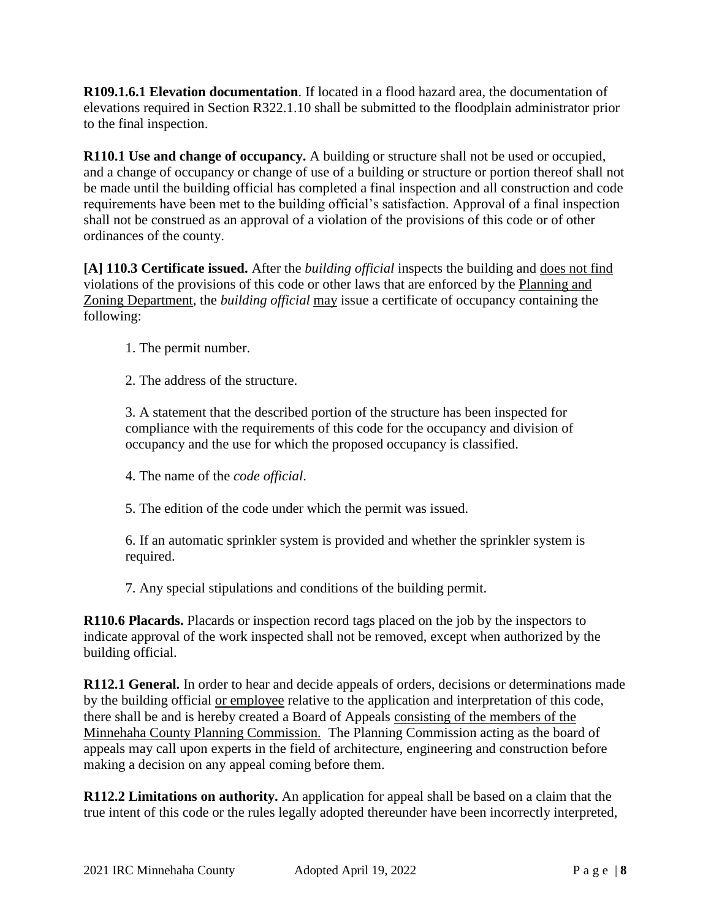**R109.1.6.1 Elevation documentation**. If located in a flood hazard area, the documentation of elevations required in Section R322.1.10 shall be submitted to the floodplain administrator prior to the final inspection.

**R110.1 Use and change of occupancy.** A building or structure shall not be used or occupied, and a change of occupancy or change of use of a building or structure or portion thereof shall not be made until the building official has completed a final inspection and all construction and code requirements have been met to the building official's satisfaction. Approval of a final inspection shall not be construed as an approval of a violation of the provisions of this code or of other ordinances of the county.

**[A] 110.3 Certificate issued.** After the *building official* inspects the building and does not find violations of the provisions of this code or other laws that are enforced by the Planning and Zoning Department, the *building official* may issue a certificate of occupancy containing the following:

1. The permit number.

2. The address of the structure.

3. A statement that the described portion of the structure has been inspected for compliance with the requirements of this code for the occupancy and division of occupancy and the use for which the proposed occupancy is classified.

4. The name of the *code official*.

5. The edition of the code under which the permit was issued.

6. If an automatic sprinkler system is provided and whether the sprinkler system is required.

7. Any special stipulations and conditions of the building permit.

**R110.6 Placards.** Placards or inspection record tags placed on the job by the inspectors to indicate approval of the work inspected shall not be removed, except when authorized by the building official.

**R112.1 General.** In order to hear and decide appeals of orders, decisions or determinations made by the building official or employee relative to the application and interpretation of this code, there shall be and is hereby created a Board of Appeals consisting of the members of the Minnehaha County Planning Commission. The Planning Commission acting as the board of appeals may call upon experts in the field of architecture, engineering and construction before making a decision on any appeal coming before them.

**R112.2 Limitations on authority.** An application for appeal shall be based on a claim that the true intent of this code or the rules legally adopted thereunder have been incorrectly interpreted,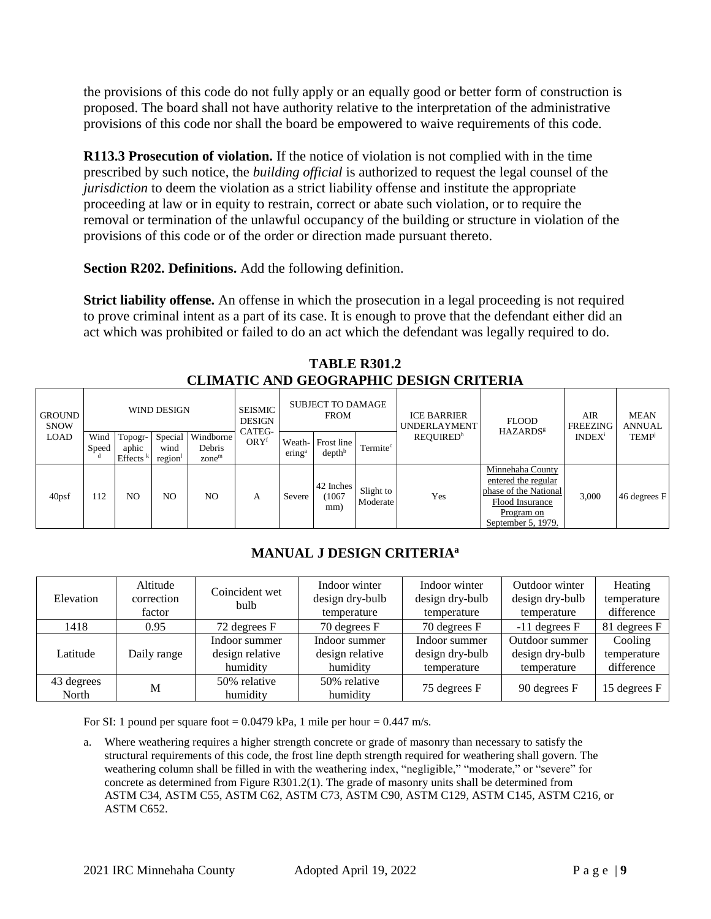the provisions of this code do not fully apply or an equally good or better form of construction is proposed. The board shall not have authority relative to the interpretation of the administrative provisions of this code nor shall the board be empowered to waive requirements of this code.

**R113.3 Prosecution of violation.** If the notice of violation is not complied with in the time prescribed by such notice, the *building official* is authorized to request the legal counsel of the *jurisdiction* to deem the violation as a strict liability offense and institute the appropriate proceeding at law or in equity to restrain, correct or abate such violation, or to require the removal or termination of the unlawful occupancy of the building or structure in violation of the provisions of this code or of the order or direction made pursuant thereto.

**Section R202. Definitions.** Add the following definition.

**Strict liability offense.** An offense in which the prosecution in a legal proceeding is not required to prove criminal intent as a part of its case. It is enough to prove that the defendant either did an act which was prohibited or failed to do an act which the defendant was legally required to do.

| <b>GROUND</b><br><b>SNOW</b> |               |                                 | WIND DESIGN               |                                          | <b>SEISMIC</b><br><b>DESIGN</b> | <b>FROM</b>               |                                         | <b>SUBJECT TO DAMAGE</b> |                              |                                                                                                                         |                           | <b>UNDERLAYMENT</b> |  |  |  |  |  |  |  |  |  |  |  | <b>FLOOD</b> | AIR<br>FREEZING | <b>MEAN</b><br><b>ANNUAL</b> |
|------------------------------|---------------|---------------------------------|---------------------------|------------------------------------------|---------------------------------|---------------------------|-----------------------------------------|--------------------------|------------------------------|-------------------------------------------------------------------------------------------------------------------------|---------------------------|---------------------|--|--|--|--|--|--|--|--|--|--|--|--------------|-----------------|------------------------------|
| LOAD                         | Wind<br>Speed | Topogr-<br>aphic<br>Effects $k$ | Special<br>wind<br>region | Windborne<br>Debris<br>zone <sup>m</sup> | CATEG-<br>ORY <sup>f</sup>      | $\text{ering}^{\text{a}}$ | Weath- Frost line<br>depth <sup>b</sup> | Termite <sup>c</sup>     | <b>REQUIRED</b> <sup>h</sup> | <b>HAZARDS</b> <sup>8</sup>                                                                                             | <b>INDEX</b> <sup>i</sup> | <b>TEMP</b>         |  |  |  |  |  |  |  |  |  |  |  |              |                 |                              |
| 40 <sub>psf</sub>            | 112           | NO.                             | NO.                       | NO.                                      | A                               | Severe                    | 42 Inches<br>(1067<br>mm)               | Slight to<br>Moderate    | Yes                          | Minnehaha County<br>entered the regular<br>phase of the National<br>Flood Insurance<br>Program on<br>September 5, 1979. | 3.000                     | 46 degrees F        |  |  |  |  |  |  |  |  |  |  |  |              |                 |                              |

**TABLE R301.2 CLIMATIC AND GEOGRAPHIC DESIGN CRITERIA**

# **MANUAL J DESIGN CRITERIA<sup>a</sup>**

| Elevation           | Altitude<br>correction<br>factor | Coincident wet<br>bulb      | Indoor winter<br>design dry-bulb<br>temperature | Indoor winter<br>design dry-bulb<br>temperature | Outdoor winter<br>design dry-bulb<br>temperature | Heating<br>temperature<br>difference |
|---------------------|----------------------------------|-----------------------------|-------------------------------------------------|-------------------------------------------------|--------------------------------------------------|--------------------------------------|
| 1418                | 0.95                             | 72 degrees F                | 70 degrees F                                    | 70 degrees F                                    | $-11$ degrees F                                  | 81 degrees F                         |
|                     |                                  | Indoor summer               | Indoor summer                                   | Indoor summer                                   | Outdoor summer                                   | Cooling                              |
| Latitude            | Daily range                      | design relative<br>humidity | design relative<br>humidity                     | design dry-bulb<br>temperature                  | design dry-bulb<br>temperature                   | temperature<br>difference            |
| 43 degrees<br>North | M                                | 50% relative<br>humidity    | 50% relative<br>humidity                        | 75 degrees F                                    | 90 degrees F                                     | 15 degrees F                         |

For SI: 1 pound per square foot =  $0.0479$  kPa, 1 mile per hour =  $0.447$  m/s.

a. Where weathering requires a higher strength concrete or grade of masonry than necessary to satisfy the structural requirements of this code, the frost line depth strength required for weathering shall govern. The weathering column shall be filled in with the weathering index, "negligible," "moderate," or "severe" for concrete as determined from Figure R301.2(1). The grade of masonry units shall be determined from ASTM C34, ASTM C55, ASTM C62, ASTM C73, ASTM C90, ASTM C129, ASTM C145, ASTM C216, or ASTM C652.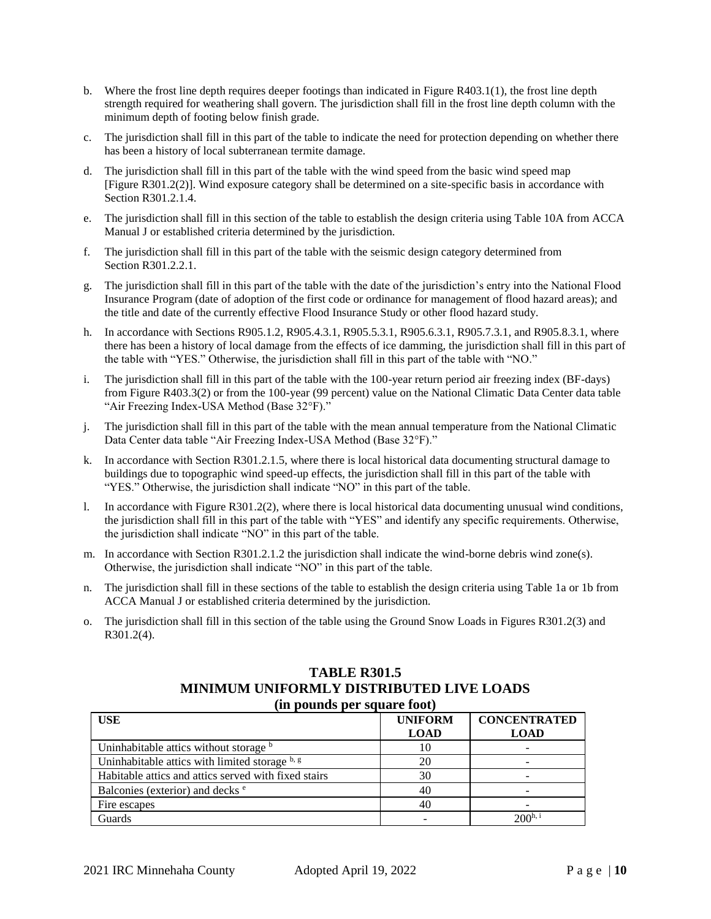- b. Where the frost line depth requires deeper footings than indicated in Figure R403.1(1), the frost line depth strength required for weathering shall govern. The jurisdiction shall fill in the frost line depth column with the minimum depth of footing below finish grade.
- c. The jurisdiction shall fill in this part of the table to indicate the need for protection depending on whether there has been a history of local subterranean termite damage.
- d. The jurisdiction shall fill in this part of the table with the wind speed from the basic wind speed map [Figure R301.2(2)]. Wind exposure category shall be determined on a site-specific basis in accordance with Section R301.2.1.4.
- e. The jurisdiction shall fill in this section of the table to establish the design criteria using Table 10A from ACCA Manual J or established criteria determined by the jurisdiction.
- f. The jurisdiction shall fill in this part of the table with the seismic design category determined from Section R301.2.2.1.
- g. The jurisdiction shall fill in this part of the table with the date of the jurisdiction's entry into the National Flood Insurance Program (date of adoption of the first code or ordinance for management of flood hazard areas); and the title and date of the currently effective Flood Insurance Study or other flood hazard study.
- h. In accordance with Sections R905.1.2, R905.4.3.1, R905.5.3.1, R905.6.3.1, R905.7.3.1, and R905.8.3.1, where there has been a history of local damage from the effects of ice damming, the jurisdiction shall fill in this part of the table with "YES." Otherwise, the jurisdiction shall fill in this part of the table with "NO."
- i. The jurisdiction shall fill in this part of the table with the 100-year return period air freezing index (BF-days) from Figure R403.3(2) or from the 100-year (99 percent) value on the National Climatic Data Center data table "Air Freezing Index-USA Method (Base 32°F)."
- j. The jurisdiction shall fill in this part of the table with the mean annual temperature from the National Climatic Data Center data table "Air Freezing Index-USA Method (Base 32°F)."
- k. In accordance with Section R301.2.1.5, where there is local historical data documenting structural damage to buildings due to topographic wind speed-up effects, the jurisdiction shall fill in this part of the table with "YES." Otherwise, the jurisdiction shall indicate "NO" in this part of the table.
- l. In accordance with Figure R301.2(2), where there is local historical data documenting unusual wind conditions, the jurisdiction shall fill in this part of the table with "YES" and identify any specific requirements. Otherwise, the jurisdiction shall indicate "NO" in this part of the table.
- m. In accordance with Section R301.2.1.2 the jurisdiction shall indicate the wind-borne debris wind zone(s). Otherwise, the jurisdiction shall indicate "NO" in this part of the table.
- n. The jurisdiction shall fill in these sections of the table to establish the design criteria using Table 1a or 1b from ACCA Manual J or established criteria determined by the jurisdiction.
- o. The jurisdiction shall fill in this section of the table using the Ground Snow Loads in Figures R301.2(3) and R301.2(4).

#### **TABLE R301.5 MINIMUM UNIFORMLY DISTRIBUTED LIVE LOADS (in pounds per square foot)**

| $\mu$ pounds per square room<br><b>USE</b>           | <b>UNIFORM</b><br><b>LOAD</b> | <b>CONCENTRATED</b><br><b>LOAD</b> |
|------------------------------------------------------|-------------------------------|------------------------------------|
| Uninhabitable attics without storage b               | 10                            |                                    |
| Uninhabitable attics with limited storage b, g       | 20                            |                                    |
| Habitable attics and attics served with fixed stairs | 30                            |                                    |
| Balconies (exterior) and decks <sup>e</sup>          | 40                            |                                    |
| Fire escapes                                         | 40                            |                                    |
| Guards                                               |                               | 200 <sup>h, i</sup>                |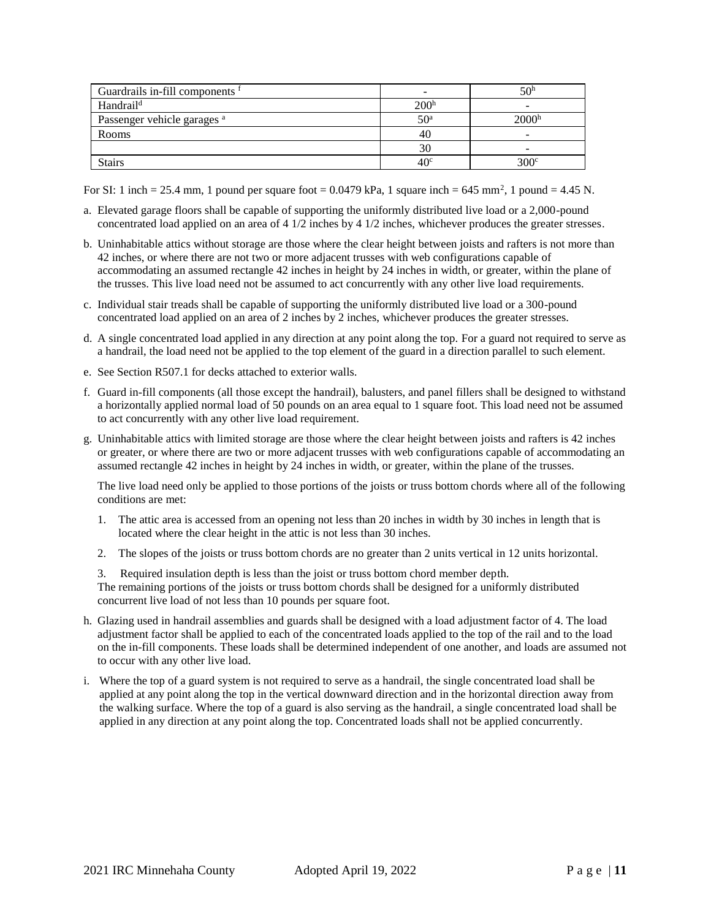| Guardrails in-fill components f        | -                | 50 <sup>h</sup>   |
|----------------------------------------|------------------|-------------------|
| Handrail <sup>d</sup>                  | 200 <sup>h</sup> |                   |
| Passenger vehicle garages <sup>a</sup> | 50 <sup>a</sup>  | 2000 <sup>h</sup> |
| Rooms                                  | 40               |                   |
|                                        | 30               |                   |
| <b>Stairs</b>                          | 40 <sup>c</sup>  | 300 <sup>c</sup>  |

For SI: 1 inch = 25.4 mm, 1 pound per square foot =  $0.0479$  kPa, 1 square inch =  $645$  mm<sup>2</sup>, 1 pound =  $4.45$  N.

- a. Elevated garage floors shall be capable of supporting the uniformly distributed live load or a 2,000-pound concentrated load applied on an area of 4 1/2 inches by 4 1/2 inches, whichever produces the greater stresses.
- b. Uninhabitable attics without storage are those where the clear height between joists and rafters is not more than 42 inches, or where there are not two or more adjacent trusses with web configurations capable of accommodating an assumed rectangle 42 inches in height by 24 inches in width, or greater, within the plane of the trusses. This live load need not be assumed to act concurrently with any other live load requirements.
- c. Individual stair treads shall be capable of supporting the uniformly distributed live load or a 300-pound concentrated load applied on an area of 2 inches by 2 inches, whichever produces the greater stresses.
- d. A single concentrated load applied in any direction at any point along the top. For a guard not required to serve as a handrail, the load need not be applied to the top element of the guard in a direction parallel to such element.
- e. See Section R507.1 for decks attached to exterior walls.
- f. Guard in-fill components (all those except the handrail), balusters, and panel fillers shall be designed to withstand a horizontally applied normal load of 50 pounds on an area equal to 1 square foot. This load need not be assumed to act concurrently with any other live load requirement.
- g. Uninhabitable attics with limited storage are those where the clear height between joists and rafters is 42 inches or greater, or where there are two or more adjacent trusses with web configurations capable of accommodating an assumed rectangle 42 inches in height by 24 inches in width, or greater, within the plane of the trusses.

The live load need only be applied to those portions of the joists or truss bottom chords where all of the following conditions are met:

- 1. The attic area is accessed from an opening not less than 20 inches in width by 30 inches in length that is located where the clear height in the attic is not less than 30 inches.
- 2. The slopes of the joists or truss bottom chords are no greater than 2 units vertical in 12 units horizontal.
- 3. Required insulation depth is less than the joist or truss bottom chord member depth.

The remaining portions of the joists or truss bottom chords shall be designed for a uniformly distributed concurrent live load of not less than 10 pounds per square foot.

- h. Glazing used in handrail assemblies and guards shall be designed with a load adjustment factor of 4. The load adjustment factor shall be applied to each of the concentrated loads applied to the top of the rail and to the load on the in-fill components. These loads shall be determined independent of one another, and loads are assumed not to occur with any other live load.
- i. Where the top of a guard system is not required to serve as a handrail, the single concentrated load shall be applied at any point along the top in the vertical downward direction and in the horizontal direction away from the walking surface. Where the top of a guard is also serving as the handrail, a single concentrated load shall be applied in any direction at any point along the top. Concentrated loads shall not be applied concurrently.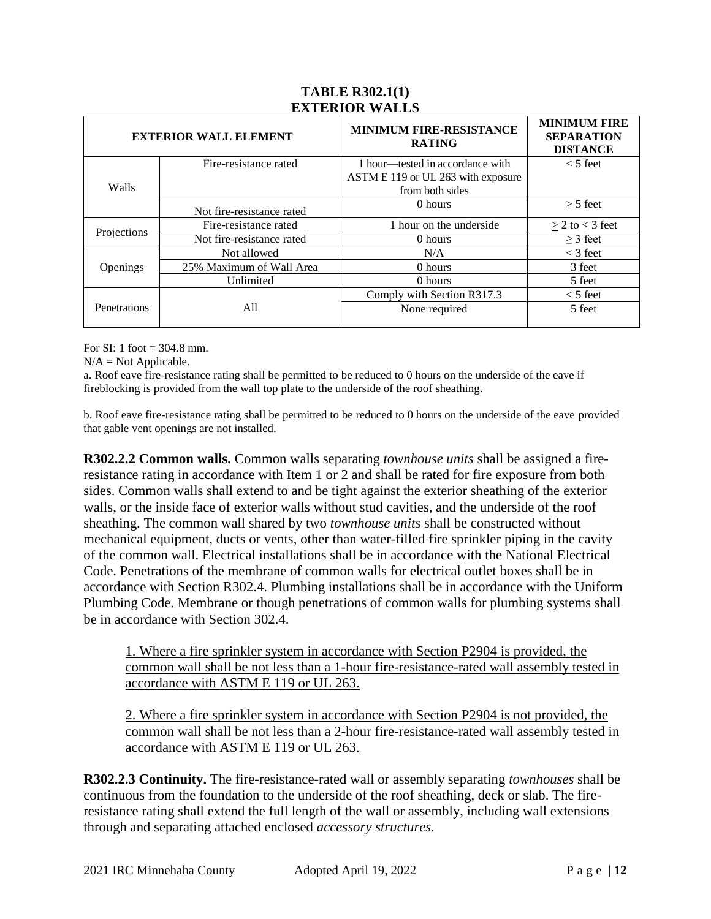|              | <b>EXTERIOR WALL ELEMENT</b> | MINIMUM FIRE-RESISTANCE<br><b>RATING</b> | <b>MINIMUM FIRE</b><br><b>SEPARATION</b><br><b>DISTANCE</b> |
|--------------|------------------------------|------------------------------------------|-------------------------------------------------------------|
|              | Fire-resistance rated        | 1 hour—tested in accordance with         | $<$ 5 feet                                                  |
|              |                              | ASTM E 119 or UL 263 with exposure       |                                                             |
| Walls        |                              | from both sides                          |                                                             |
|              | Not fire-resistance rated    | 0 hours                                  | $> 5$ feet                                                  |
| Projections  | Fire-resistance rated        | 1 hour on the underside                  | $> 2$ to $<$ 3 feet                                         |
|              | Not fire-resistance rated    | 0 hours                                  | $\geq$ 3 feet                                               |
|              | Not allowed                  | N/A                                      | $<$ 3 feet                                                  |
| Openings     | 25% Maximum of Wall Area     | 0 hours                                  | 3 feet                                                      |
|              | Unlimited                    | 0 hours                                  | 5 feet                                                      |
|              |                              | Comply with Section R317.3               | $<$ 5 feet                                                  |
| Penetrations | All                          | None required                            | 5 feet                                                      |

### **TABLE R302.1(1) EXTERIOR WALLS**

For SI: 1 foot  $=$  304.8 mm.

 $N/A = Not Appliedbe.$ 

a. Roof eave fire-resistance rating shall be permitted to be reduced to 0 hours on the underside of the eave if fireblocking is provided from the wall top plate to the underside of the roof sheathing.

b. Roof eave fire-resistance rating shall be permitted to be reduced to 0 hours on the underside of the eave provided that gable vent openings are not installed.

**R302.2.2 Common walls.** Common walls separating *townhouse units* shall be assigned a fireresistance rating in accordance with Item 1 or 2 and shall be rated for fire exposure from both sides. Common walls shall extend to and be tight against the exterior sheathing of the exterior walls, or the inside face of exterior walls without stud cavities, and the underside of the roof sheathing. The common wall shared by two *townhouse units* shall be constructed without mechanical equipment, ducts or vents, other than water-filled fire sprinkler piping in the cavity of the common wall. Electrical installations shall be in accordance with the National Electrical Code. Penetrations of the membrane of common walls for electrical outlet boxes shall be in accordance with Section R302.4. Plumbing installations shall be in accordance with the Uniform Plumbing Code. Membrane or though penetrations of common walls for plumbing systems shall be in accordance with Section 302.4.

1. Where a fire sprinkler system in accordance with Section P2904 is provided, the common wall shall be not less than a 1-hour fire-resistance-rated wall assembly tested in accordance with ASTM E 119 or UL 263.

2. Where a fire sprinkler system in accordance with Section P2904 is not provided, the common wall shall be not less than a 2-hour fire-resistance-rated wall assembly tested in accordance with ASTM E 119 or UL 263.

**R302.2.3 Continuity.** The fire-resistance-rated wall or assembly separating *townhouses* shall be continuous from the foundation to the underside of the roof sheathing, deck or slab. The fireresistance rating shall extend the full length of the wall or assembly, including wall extensions through and separating attached enclosed *accessory structures.*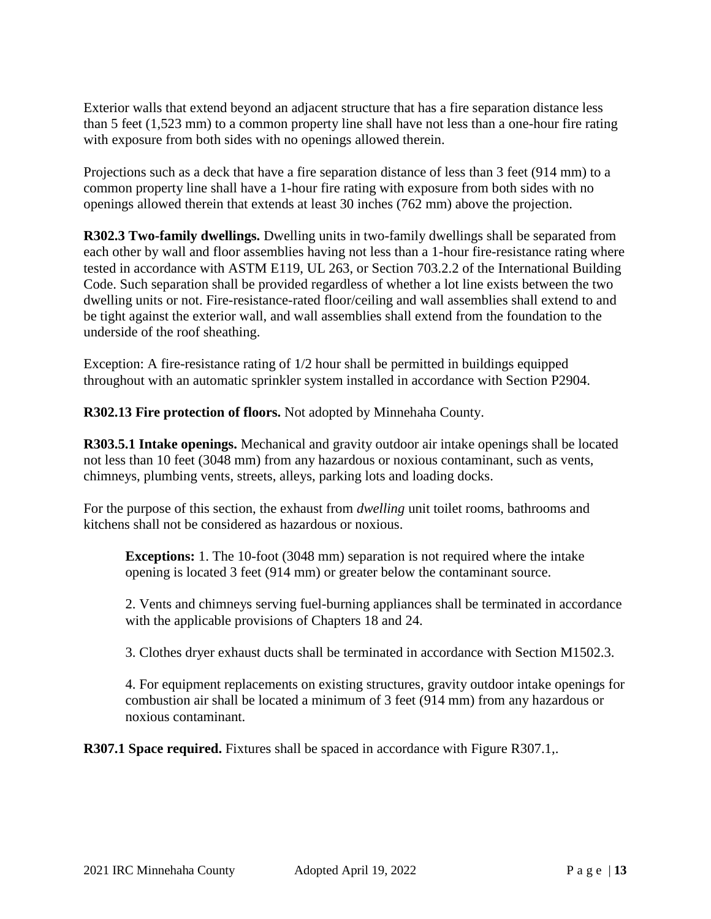Exterior walls that extend beyond an adjacent structure that has a fire separation distance less than 5 feet (1,523 mm) to a common property line shall have not less than a one-hour fire rating with exposure from both sides with no openings allowed therein.

Projections such as a deck that have a fire separation distance of less than 3 feet (914 mm) to a common property line shall have a 1-hour fire rating with exposure from both sides with no openings allowed therein that extends at least 30 inches (762 mm) above the projection.

**R302.3 Two-family dwellings.** Dwelling units in two-family dwellings shall be separated from each other by wall and floor assemblies having not less than a 1-hour fire-resistance rating where tested in accordance with ASTM E119, UL 263, or Section 703.2.2 of the International Building Code. Such separation shall be provided regardless of whether a lot line exists between the two dwelling units or not. Fire-resistance-rated floor/ceiling and wall assemblies shall extend to and be tight against the exterior wall, and wall assemblies shall extend from the foundation to the underside of the roof sheathing.

Exception: A fire-resistance rating of 1/2 hour shall be permitted in buildings equipped throughout with an automatic sprinkler system installed in accordance with Section P2904.

**R302.13 Fire protection of floors.** Not adopted by Minnehaha County.

**R303.5.1 Intake openings.** Mechanical and gravity outdoor air intake openings shall be located not less than 10 feet (3048 mm) from any hazardous or noxious contaminant, such as vents, chimneys, plumbing vents, streets, alleys, parking lots and loading docks.

For the purpose of this section, the exhaust from *dwelling* unit toilet rooms, bathrooms and kitchens shall not be considered as hazardous or noxious.

**Exceptions:** 1. The 10-foot (3048 mm) separation is not required where the intake opening is located 3 feet (914 mm) or greater below the contaminant source.

2. Vents and chimneys serving fuel-burning appliances shall be terminated in accordance with the applicable provisions of Chapters 18 and 24.

3. Clothes dryer exhaust ducts shall be terminated in accordance with Section M1502.3.

4. For equipment replacements on existing structures, gravity outdoor intake openings for combustion air shall be located a minimum of 3 feet (914 mm) from any hazardous or noxious contaminant.

**R307.1 Space required.** Fixtures shall be spaced in accordance with Figure R307.1,.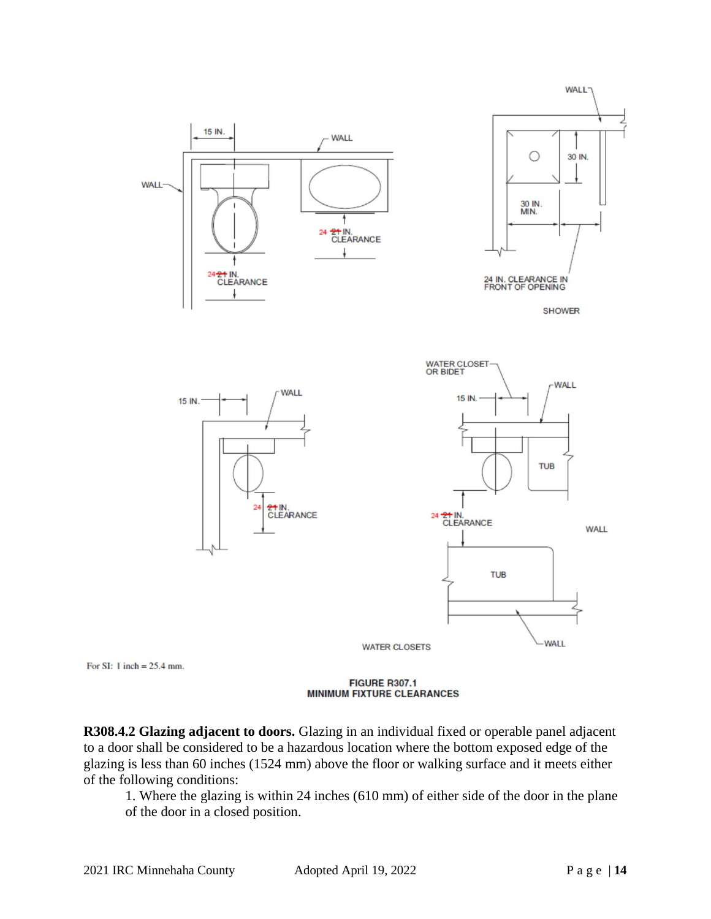

**FIGURE R307.1 MINIMUM FIXTURE CLEARANCES** 

**R308.4.2 Glazing adjacent to doors.** Glazing in an individual fixed or operable panel adjacent to a door shall be considered to be a hazardous location where the bottom exposed edge of the glazing is less than 60 inches (1524 mm) above the floor or walking surface and it meets either of the following conditions:

1. Where the glazing is within 24 inches (610 mm) of either side of the door in the plane of the door in a closed position.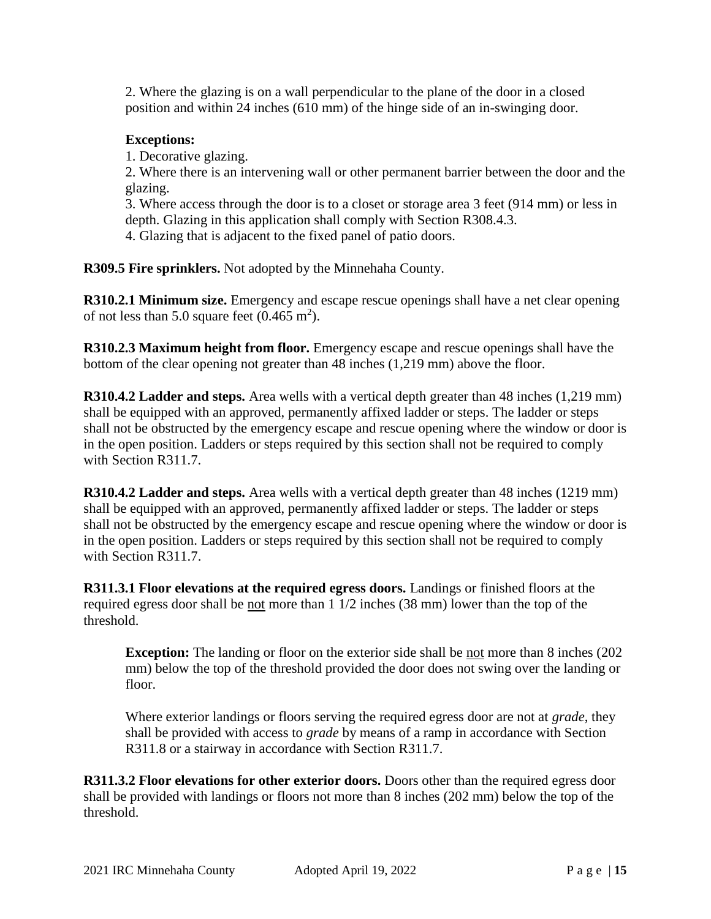2. Where the glazing is on a wall perpendicular to the plane of the door in a closed position and within 24 inches (610 mm) of the hinge side of an in-swinging door.

### **Exceptions:**

1. Decorative glazing.

2. Where there is an intervening wall or other permanent barrier between the door and the glazing.

3. Where access through the door is to a closet or storage area 3 feet (914 mm) or less in depth. Glazing in this application shall comply with Section R308.4.3.

4. Glazing that is adjacent to the fixed panel of patio doors.

**R309.5 Fire sprinklers.** Not adopted by the Minnehaha County.

**R310.2.1 Minimum size.** Emergency and escape rescue openings shall have a net clear opening of not less than 5.0 square feet  $(0.465 \text{ m}^2)$ .

**R310.2.3 Maximum height from floor.** Emergency escape and rescue openings shall have the bottom of the clear opening not greater than 48 inches (1,219 mm) above the floor.

**R310.4.2 Ladder and steps.** Area wells with a vertical depth greater than 48 inches (1,219 mm) shall be equipped with an approved, permanently affixed ladder or steps. The ladder or steps shall not be obstructed by the emergency escape and rescue opening where the window or door is in the open position. Ladders or steps required by this section shall not be required to comply with Section R311.7.

**R310.4.2 Ladder and steps.** Area wells with a vertical depth greater than 48 inches (1219 mm) shall be equipped with an approved, permanently affixed ladder or steps. The ladder or steps shall not be obstructed by the emergency escape and rescue opening where the window or door is in the open position. Ladders or steps required by this section shall not be required to comply with Section R311.7.

**R311.3.1 Floor elevations at the required egress doors.** Landings or finished floors at the required egress door shall be not more than 1 1/2 inches (38 mm) lower than the top of the threshold.

**Exception:** The landing or floor on the exterior side shall be not more than 8 inches (202) mm) below the top of the threshold provided the door does not swing over the landing or floor.

Where exterior landings or floors serving the required egress door are not at *grade*, they shall be provided with access to *grade* by means of a ramp in accordance with Section R311.8 or a stairway in accordance with Section R311.7.

**R311.3.2 Floor elevations for other exterior doors.** Doors other than the required egress door shall be provided with landings or floors not more than 8 inches (202 mm) below the top of the threshold.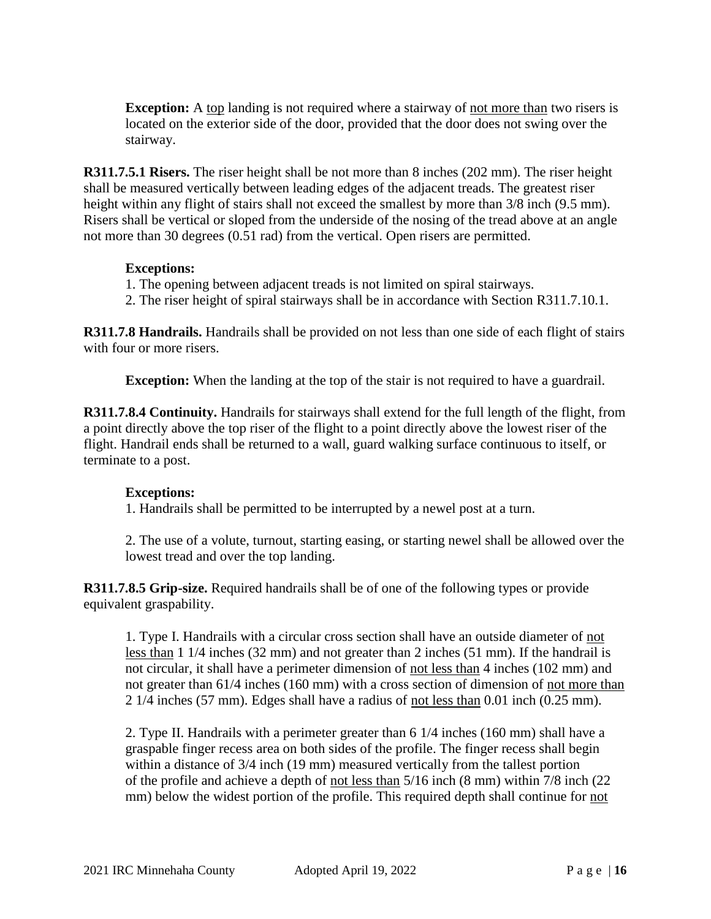**Exception:** A top landing is not required where a stairway of not more than two risers is located on the exterior side of the door, provided that the door does not swing over the stairway.

**R311.7.5.1 Risers.** The riser height shall be not more than 8 inches (202 mm). The riser height shall be measured vertically between leading edges of the adjacent treads. The greatest riser height within any flight of stairs shall not exceed the smallest by more than  $3/8$  inch (9.5 mm). Risers shall be vertical or sloped from the underside of the nosing of the tread above at an angle not more than 30 degrees (0.51 rad) from the vertical. Open risers are permitted.

#### **Exceptions:**

- 1. The opening between adjacent treads is not limited on spiral stairways.
- 2. The riser height of spiral stairways shall be in accordance with Section R311.7.10.1.

**R311.7.8 Handrails.** Handrails shall be provided on not less than one side of each flight of stairs with four or more risers.

**Exception:** When the landing at the top of the stair is not required to have a guardrail.

**R311.7.8.4 Continuity.** Handrails for stairways shall extend for the full length of the flight, from a point directly above the top riser of the flight to a point directly above the lowest riser of the flight. Handrail ends shall be returned to a wall, guard walking surface continuous to itself, or terminate to a post.

### **Exceptions:**

1. Handrails shall be permitted to be interrupted by a newel post at a turn.

2. The use of a volute, turnout, starting easing, or starting newel shall be allowed over the lowest tread and over the top landing.

**R311.7.8.5 Grip-size.** Required handrails shall be of one of the following types or provide equivalent graspability.

1. Type I. Handrails with a circular cross section shall have an outside diameter of not less than 1 1/4 inches (32 mm) and not greater than 2 inches (51 mm). If the handrail is not circular, it shall have a perimeter dimension of not less than 4 inches (102 mm) and not greater than 61/4 inches (160 mm) with a cross section of dimension of not more than 2 1/4 inches (57 mm). Edges shall have a radius of not less than 0.01 inch (0.25 mm).

2. Type II. Handrails with a perimeter greater than 6 1/4 inches (160 mm) shall have a graspable finger recess area on both sides of the profile. The finger recess shall begin within a distance of  $3/4$  inch (19 mm) measured vertically from the tallest portion of the profile and achieve a depth of not less than 5/16 inch (8 mm) within 7/8 inch (22 mm) below the widest portion of the profile. This required depth shall continue for not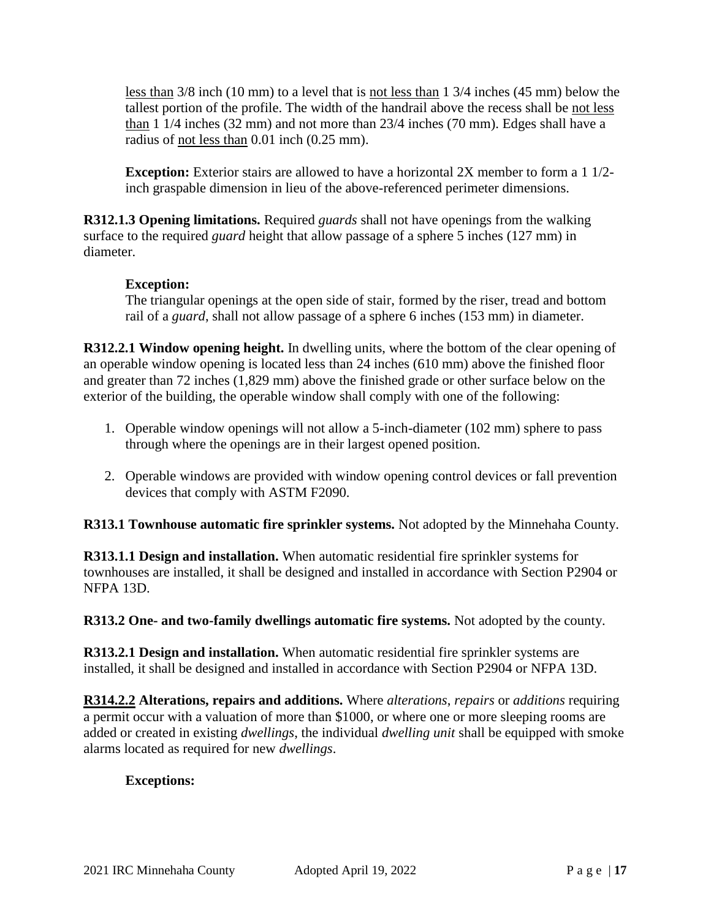less than 3/8 inch (10 mm) to a level that is not less than 1 3/4 inches (45 mm) below the tallest portion of the profile. The width of the handrail above the recess shall be not less than 1 1/4 inches (32 mm) and not more than 23/4 inches (70 mm). Edges shall have a radius of not less than 0.01 inch (0.25 mm).

**Exception:** Exterior stairs are allowed to have a horizontal 2X member to form a 1 1/2inch graspable dimension in lieu of the above-referenced perimeter dimensions.

**R312.1.3 Opening limitations.** Required *guards* shall not have openings from the walking surface to the required *guard* height that allow passage of a sphere 5 inches (127 mm) in diameter.

### **Exception:**

The triangular openings at the open side of stair, formed by the riser, tread and bottom rail of a *guard*, shall not allow passage of a sphere 6 inches (153 mm) in diameter.

**R312.2.1 Window opening height.** In dwelling units, where the bottom of the clear opening of an operable window opening is located less than 24 inches (610 mm) above the finished floor and greater than 72 inches (1,829 mm) above the finished grade or other surface below on the exterior of the building, the operable window shall comply with one of the following:

- 1. Operable window openings will not allow a 5-inch-diameter (102 mm) sphere to pass through where the openings are in their largest opened position.
- 2. Operable windows are provided with window opening control devices or fall prevention devices that comply with ASTM F2090.

**R313.1 Townhouse automatic fire sprinkler systems.** Not adopted by the Minnehaha County.

**R313.1.1 Design and installation.** When automatic residential fire sprinkler systems for townhouses are installed, it shall be designed and installed in accordance with Section P2904 or NFPA 13D.

**R313.2 One- and two-family dwellings automatic fire systems.** Not adopted by the county.

**R313.2.1 Design and installation.** When automatic residential fire sprinkler systems are installed, it shall be designed and installed in accordance with Section P2904 or NFPA 13D.

**R314.2.2 Alterations, repairs and additions.** Where *alterations*, *repairs* or *additions* requiring a permit occur with a valuation of more than \$1000, or where one or more sleeping rooms are added or created in existing *dwellings*, the individual *dwelling unit* shall be equipped with smoke alarms located as required for new *dwellings*.

# **Exceptions:**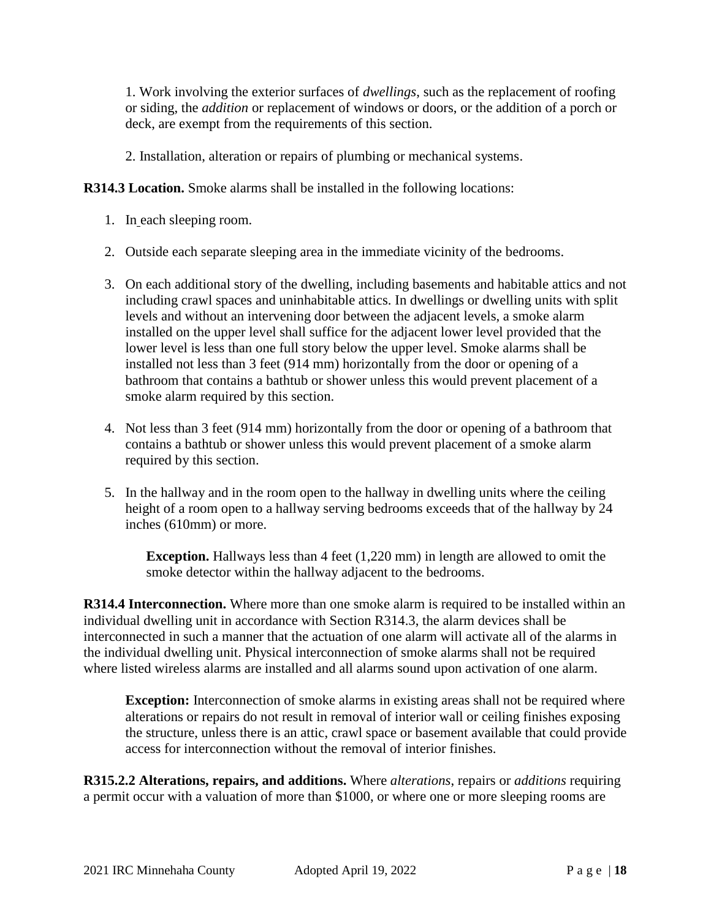1. Work involving the exterior surfaces of *dwellings*, such as the replacement of roofing or siding, the *addition* or replacement of windows or doors, or the addition of a porch or deck, are exempt from the requirements of this section.

2. Installation, alteration or repairs of plumbing or mechanical systems.

**R314.3 Location.** Smoke alarms shall be installed in the following locations:

- 1. In each sleeping room.
- 2. Outside each separate sleeping area in the immediate vicinity of the bedrooms.
- 3. On each additional story of the dwelling, including basements and habitable attics and not including crawl spaces and uninhabitable attics. In dwellings or dwelling units with split levels and without an intervening door between the adjacent levels, a smoke alarm installed on the upper level shall suffice for the adjacent lower level provided that the lower level is less than one full story below the upper level. Smoke alarms shall be installed not less than 3 feet (914 mm) horizontally from the door or opening of a bathroom that contains a bathtub or shower unless this would prevent placement of a smoke alarm required by this section.
- 4. Not less than 3 feet (914 mm) horizontally from the door or opening of a bathroom that contains a bathtub or shower unless this would prevent placement of a smoke alarm required by this section.
- 5. In the hallway and in the room open to the hallway in dwelling units where the ceiling height of a room open to a hallway serving bedrooms exceeds that of the hallway by 24 inches (610mm) or more.

**Exception.** Hallways less than 4 feet (1,220 mm) in length are allowed to omit the smoke detector within the hallway adjacent to the bedrooms.

**R314.4 Interconnection.** Where more than one smoke alarm is required to be installed within an individual dwelling unit in accordance with Section R314.3, the alarm devices shall be interconnected in such a manner that the actuation of one alarm will activate all of the alarms in the individual dwelling unit. Physical interconnection of smoke alarms shall not be required where listed wireless alarms are installed and all alarms sound upon activation of one alarm.

**Exception:** Interconnection of smoke alarms in existing areas shall not be required where alterations or repairs do not result in removal of interior wall or ceiling finishes exposing the structure, unless there is an attic, crawl space or basement available that could provide access for interconnection without the removal of interior finishes.

**R315.2.2 Alterations, repairs, and additions.** Where *alterations*, repairs or *additions* requiring a permit occur with a valuation of more than \$1000, or where one or more sleeping rooms are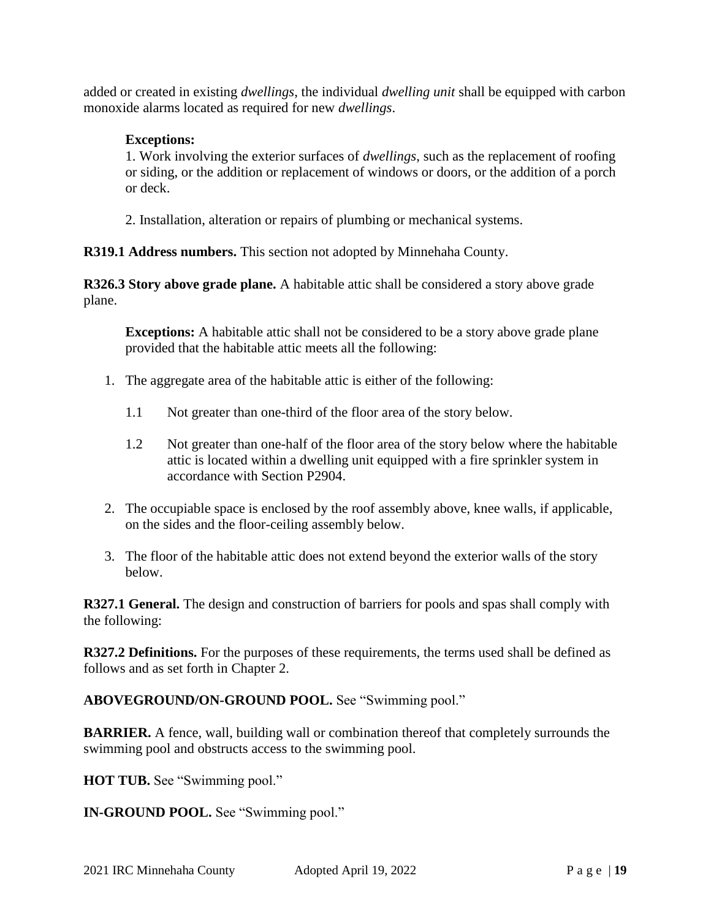added or created in existing *dwellings*, the individual *dwelling unit* shall be equipped with carbon monoxide alarms located as required for new *dwellings*.

### **Exceptions:**

1. Work involving the exterior surfaces of *dwellings*, such as the replacement of roofing or siding, or the addition or replacement of windows or doors, or the addition of a porch or deck.

2. Installation, alteration or repairs of plumbing or mechanical systems.

**R319.1 Address numbers.** This section not adopted by Minnehaha County.

**R326.3 Story above grade plane.** A habitable attic shall be considered a story above grade plane.

**Exceptions:** A habitable attic shall not be considered to be a story above grade plane provided that the habitable attic meets all the following:

- 1. The aggregate area of the habitable attic is either of the following:
	- 1.1 Not greater than one-third of the floor area of the story below.
	- 1.2 Not greater than one-half of the floor area of the story below where the habitable attic is located within a dwelling unit equipped with a fire sprinkler system in accordance with Section P2904.
- 2. The occupiable space is enclosed by the roof assembly above, knee walls, if applicable, on the sides and the floor-ceiling assembly below.
- 3. The floor of the habitable attic does not extend beyond the exterior walls of the story below.

**R327.1 General.** The design and construction of barriers for pools and spas shall comply with the following:

**R327.2 Definitions.** For the purposes of these requirements, the terms used shall be defined as follows and as set forth in Chapter 2.

**ABOVEGROUND/ON-GROUND POOL.** See "Swimming pool."

**BARRIER.** A fence, wall, building wall or combination thereof that completely surrounds the swimming pool and obstructs access to the swimming pool.

**HOT TUB.** See "Swimming pool."

**IN-GROUND POOL.** See "Swimming pool."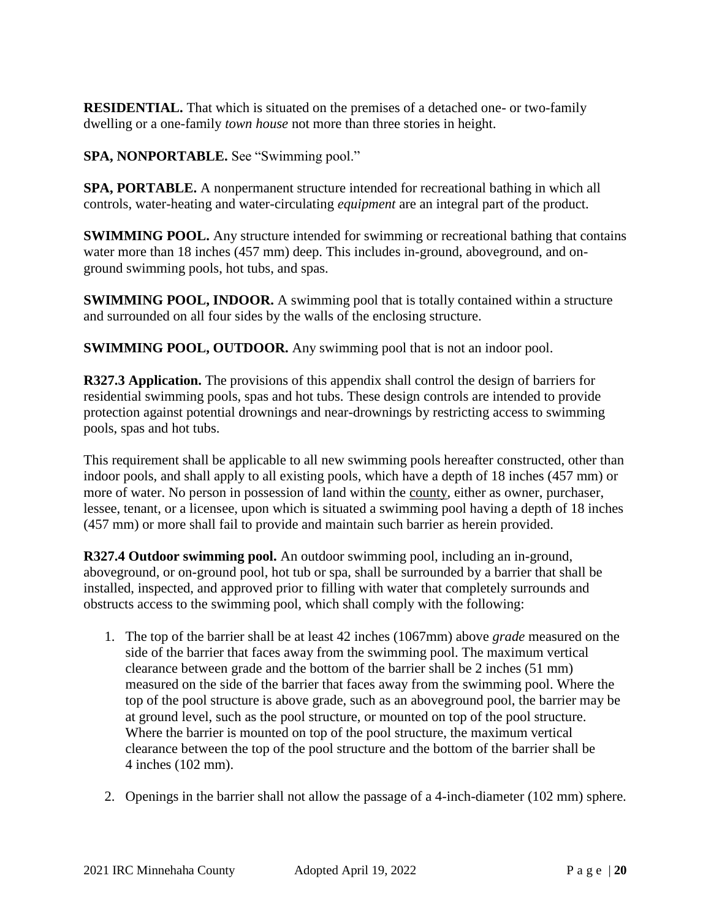**RESIDENTIAL.** That which is situated on the premises of a detached one- or two-family dwelling or a one-family *town house* not more than three stories in height.

**SPA, NONPORTABLE.** See "Swimming pool."

**SPA, PORTABLE.** A nonpermanent structure intended for recreational bathing in which all controls, water-heating and water-circulating *equipment* are an integral part of the product.

**SWIMMING POOL.** Any structure intended for swimming or recreational bathing that contains water more than 18 inches (457 mm) deep. This includes in-ground, aboveground, and onground swimming pools, hot tubs, and spas.

**SWIMMING POOL, INDOOR.** A swimming pool that is totally contained within a structure and surrounded on all four sides by the walls of the enclosing structure.

**SWIMMING POOL, OUTDOOR.** Any swimming pool that is not an indoor pool.

**R327.3 Application.** The provisions of this appendix shall control the design of barriers for residential swimming pools, spas and hot tubs. These design controls are intended to provide protection against potential drownings and near-drownings by restricting access to swimming pools, spas and hot tubs.

This requirement shall be applicable to all new swimming pools hereafter constructed, other than indoor pools, and shall apply to all existing pools, which have a depth of 18 inches (457 mm) or more of water. No person in possession of land within the county, either as owner, purchaser, lessee, tenant, or a licensee, upon which is situated a swimming pool having a depth of 18 inches (457 mm) or more shall fail to provide and maintain such barrier as herein provided.

**R327.4 Outdoor swimming pool.** An outdoor swimming pool, including an in-ground, aboveground, or on-ground pool, hot tub or spa, shall be surrounded by a barrier that shall be installed, inspected, and approved prior to filling with water that completely surrounds and obstructs access to the swimming pool, which shall comply with the following:

- 1. The top of the barrier shall be at least 42 inches (1067mm) above *grade* measured on the side of the barrier that faces away from the swimming pool. The maximum vertical clearance between grade and the bottom of the barrier shall be 2 inches (51 mm) measured on the side of the barrier that faces away from the swimming pool. Where the top of the pool structure is above grade, such as an aboveground pool, the barrier may be at ground level, such as the pool structure, or mounted on top of the pool structure. Where the barrier is mounted on top of the pool structure, the maximum vertical clearance between the top of the pool structure and the bottom of the barrier shall be 4 inches (102 mm).
- 2. Openings in the barrier shall not allow the passage of a 4-inch-diameter (102 mm) sphere.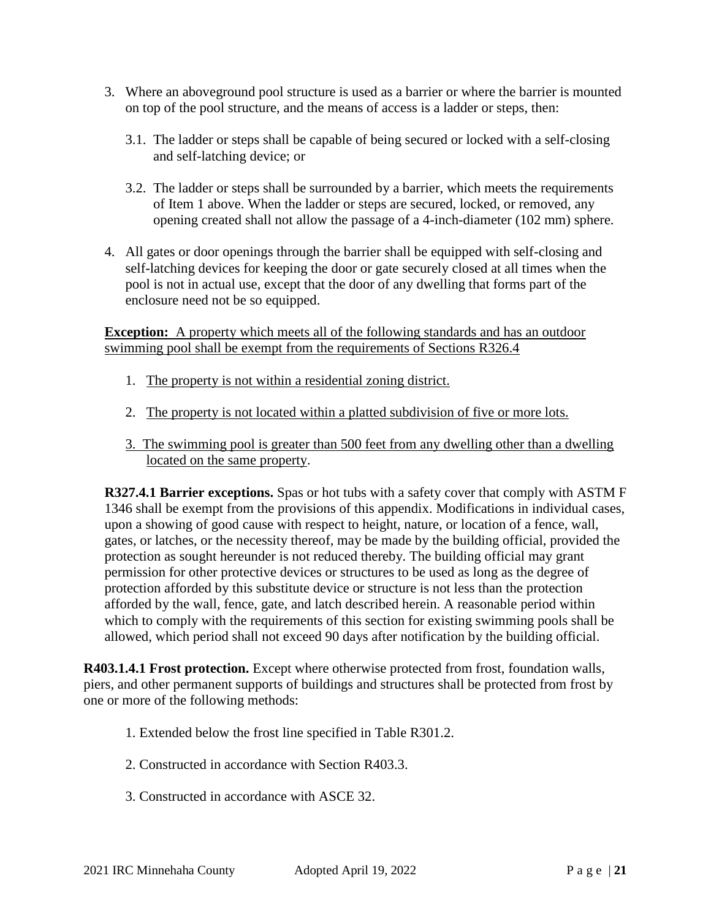- 3. Where an aboveground pool structure is used as a barrier or where the barrier is mounted on top of the pool structure, and the means of access is a ladder or steps, then:
	- 3.1. The ladder or steps shall be capable of being secured or locked with a self-closing and self-latching device; or
	- 3.2. The ladder or steps shall be surrounded by a barrier, which meets the requirements of Item 1 above. When the ladder or steps are secured, locked, or removed, any opening created shall not allow the passage of a 4-inch-diameter (102 mm) sphere.
- 4. All gates or door openings through the barrier shall be equipped with self-closing and self-latching devices for keeping the door or gate securely closed at all times when the pool is not in actual use, except that the door of any dwelling that forms part of the enclosure need not be so equipped.

**Exception:** A property which meets all of the following standards and has an outdoor swimming pool shall be exempt from the requirements of Sections R326.4

- 1. The property is not within a residential zoning district.
- 2. The property is not located within a platted subdivision of five or more lots.
- 3. The swimming pool is greater than 500 feet from any dwelling other than a dwelling located on the same property.

**R327.4.1 Barrier exceptions.** Spas or hot tubs with a safety cover that comply with ASTM F 1346 shall be exempt from the provisions of this appendix. Modifications in individual cases, upon a showing of good cause with respect to height, nature, or location of a fence, wall, gates, or latches, or the necessity thereof, may be made by the building official, provided the protection as sought hereunder is not reduced thereby. The building official may grant permission for other protective devices or structures to be used as long as the degree of protection afforded by this substitute device or structure is not less than the protection afforded by the wall, fence, gate, and latch described herein. A reasonable period within which to comply with the requirements of this section for existing swimming pools shall be allowed, which period shall not exceed 90 days after notification by the building official.

**R403.1.4.1 Frost protection.** Except where otherwise protected from frost, foundation walls, piers, and other permanent supports of buildings and structures shall be protected from frost by one or more of the following methods:

- 1. Extended below the frost line specified in Table R301.2.
- 2. Constructed in accordance with Section R403.3.
- 3. Constructed in accordance with ASCE 32.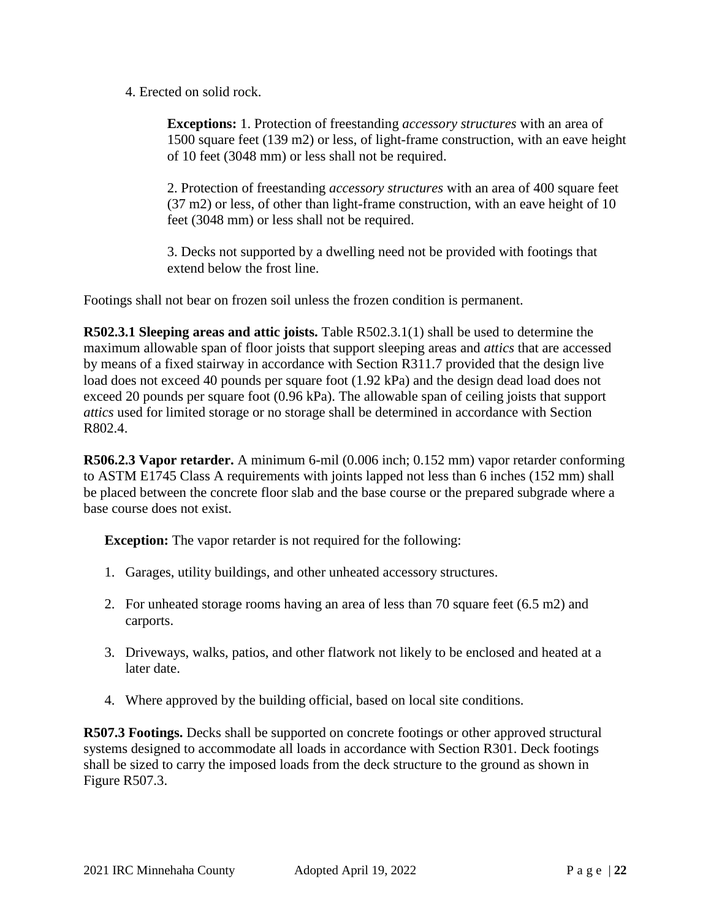4. Erected on solid rock.

**Exceptions:** 1. Protection of freestanding *accessory structures* with an area of 1500 square feet (139 m2) or less, of light-frame construction, with an eave height of 10 feet (3048 mm) or less shall not be required.

2. Protection of freestanding *accessory structures* with an area of 400 square feet (37 m2) or less, of other than light-frame construction, with an eave height of 10 feet (3048 mm) or less shall not be required.

3. Decks not supported by a dwelling need not be provided with footings that extend below the frost line.

Footings shall not bear on frozen soil unless the frozen condition is permanent.

**R502.3.1 Sleeping areas and attic joists.** Table R502.3.1(1) shall be used to determine the maximum allowable span of floor joists that support sleeping areas and *attics* that are accessed by means of a fixed stairway in accordance with Section R311.7 provided that the design live load does not exceed 40 pounds per square foot (1.92 kPa) and the design dead load does not exceed 20 pounds per square foot (0.96 kPa). The allowable span of ceiling joists that support *attics* used for limited storage or no storage shall be determined in accordance with Section R802.4.

**R506.2.3 Vapor retarder.** A minimum 6-mil (0.006 inch; 0.152 mm) vapor retarder conforming to ASTM E1745 Class A requirements with joints lapped not less than 6 inches (152 mm) shall be placed between the concrete floor slab and the base course or the prepared subgrade where a base course does not exist.

**Exception:** The vapor retarder is not required for the following:

- 1. Garages, utility buildings, and other unheated accessory structures.
- 2. For unheated storage rooms having an area of less than 70 square feet (6.5 m2) and carports.
- 3. Driveways, walks, patios, and other flatwork not likely to be enclosed and heated at a later date.
- 4. Where approved by the building official, based on local site conditions.

**R507.3 Footings.** Decks shall be supported on concrete footings or other approved structural systems designed to accommodate all loads in accordance with Section R301. Deck footings shall be sized to carry the imposed loads from the deck structure to the ground as shown in Figure R507.3.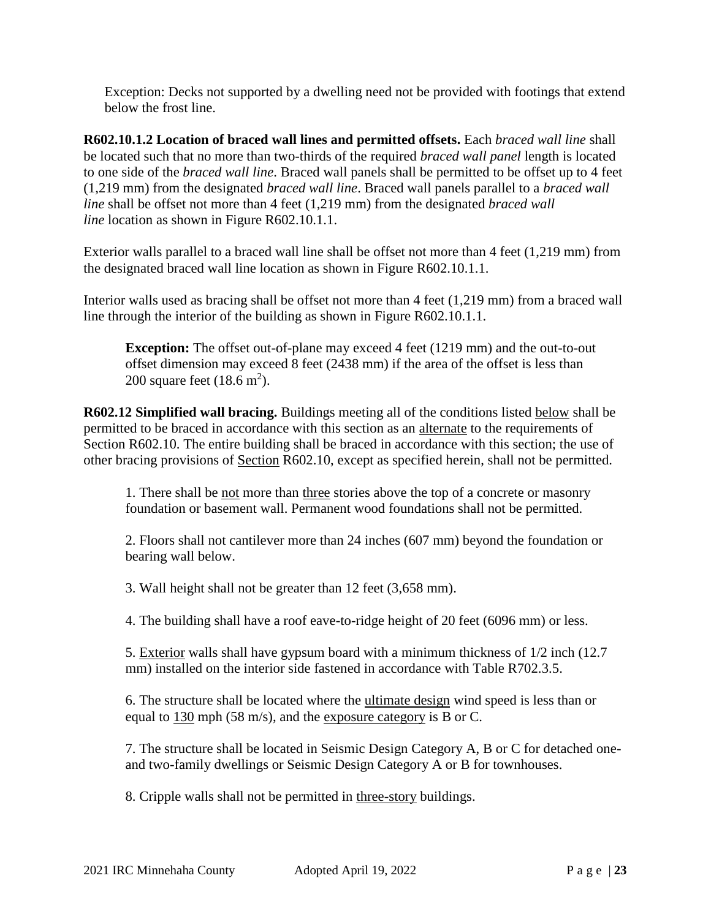Exception: Decks not supported by a dwelling need not be provided with footings that extend below the frost line.

**R602.10.1.2 Location of braced wall lines and permitted offsets.** Each *braced wall line* shall be located such that no more than two-thirds of the required *braced wall panel* length is located to one side of the *braced wall line*. Braced wall panels shall be permitted to be offset up to 4 feet (1,219 mm) from the designated *braced wall line*. Braced wall panels parallel to a *braced wall line* shall be offset not more than 4 feet (1,219 mm) from the designated *braced wall line* location as shown in [Figure R602.10.1.1.](https://codes.iccsafe.org/lookup/IRC2021P1_Pt03_Ch06_SecR602.10.1.1_FigR602.10.1.1/1722)

Exterior walls parallel to a braced wall line shall be offset not more than 4 feet (1,219 mm) from the designated braced wall line location as shown in Figure R602.10.1.1.

Interior walls used as bracing shall be offset not more than 4 feet (1,219 mm) from a braced wall line through the interior of the building as shown in Figure R602.10.1.1.

**Exception:** The offset out-of-plane may exceed 4 feet (1219 mm) and the out-to-out offset dimension may exceed 8 feet (2438 mm) if the area of the offset is less than 200 square feet  $(18.6 \text{ m}^2)$ .

**R602.12 Simplified wall bracing.** Buildings meeting all of the conditions listed below shall be permitted to be braced in accordance with this section as an alternate to the requirements of Section R602.10. The entire building shall be braced in accordance with this section; the use of other bracing provisions of Section R602.10, except as specified herein, shall not be permitted.

1. There shall be not more than three stories above the top of a concrete or masonry foundation or basement wall. Permanent wood foundations shall not be permitted.

2. Floors shall not cantilever more than 24 inches (607 mm) beyond the foundation or bearing wall below.

3. Wall height shall not be greater than 12 feet (3,658 mm).

4. The building shall have a roof eave-to-ridge height of 20 feet (6096 mm) or less.

5. Exterior walls shall have gypsum board with a minimum thickness of 1/2 inch (12.7 mm) installed on the interior side fastened in accordance with Table R702.3.5.

6. The structure shall be located where the ultimate design wind speed is less than or equal to 130 mph (58 m/s), and the exposure category is B or C.

7. The structure shall be located in Seismic Design Category A, B or C for detached oneand two-family dwellings or Seismic Design Category A or B for townhouses.

8. Cripple walls shall not be permitted in three-story buildings.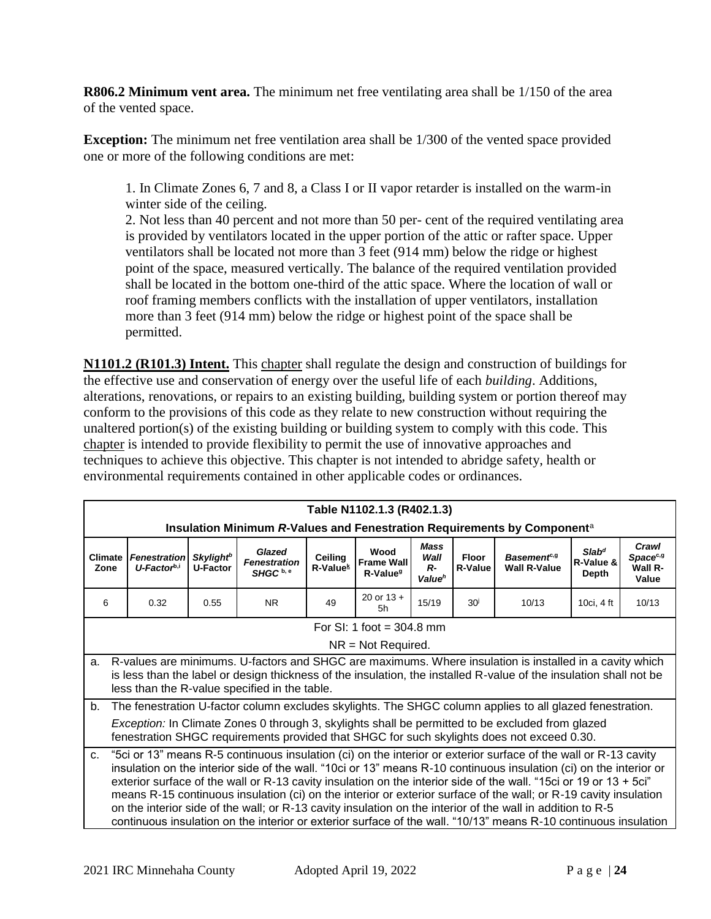**R806.2 Minimum vent area.** The minimum net free ventilating area shall be 1/150 of the area of the vented space.

**Exception:** The minimum net free ventilation area shall be 1/300 of the vented space provided one or more of the following conditions are met:

1. In Climate Zones 6, 7 and 8, a Class I or II vapor retarder is installed on the warm-in winter side of the ceiling.

2. Not less than 40 percent and not more than 50 per- cent of the required ventilating area is provided by ventilators located in the upper portion of the attic or rafter space. Upper ventilators shall be located not more than 3 feet (914 mm) below the ridge or highest point of the space, measured vertically. The balance of the required ventilation provided shall be located in the bottom one-third of the attic space. Where the location of wall or roof framing members conflicts with the installation of upper ventilators, installation more than 3 feet (914 mm) below the ridge or highest point of the space shall be permitted.

**N1101.2 (R101.3) Intent.** This chapter shall regulate the design and construction of buildings for the effective use and conservation of energy over the useful life of each *building*. Additions, alterations, renovations, or repairs to an existing building, building system or portion thereof may conform to the provisions of this code as they relate to new construction without requiring the unaltered portion(s) of the existing building or building system to comply with this code. This chapter is intended to provide flexibility to permit the use of innovative approaches and techniques to achieve this objective. This chapter is not intended to abridge safety, health or environmental requirements contained in other applicable codes or ordinances.

|                        | Table N1102.1.3 (R402.1.3)                                                                                                                                                                                                                                                                                                                                                                                                                                                                                                                                                                                                                                                                                      |                                                |                                                       |                                 |                                                   |                                                   |                         |                                                                                                          |                                         |                                                   |
|------------------------|-----------------------------------------------------------------------------------------------------------------------------------------------------------------------------------------------------------------------------------------------------------------------------------------------------------------------------------------------------------------------------------------------------------------------------------------------------------------------------------------------------------------------------------------------------------------------------------------------------------------------------------------------------------------------------------------------------------------|------------------------------------------------|-------------------------------------------------------|---------------------------------|---------------------------------------------------|---------------------------------------------------|-------------------------|----------------------------------------------------------------------------------------------------------|-----------------------------------------|---------------------------------------------------|
|                        |                                                                                                                                                                                                                                                                                                                                                                                                                                                                                                                                                                                                                                                                                                                 |                                                |                                                       |                                 |                                                   |                                                   |                         | Insulation Minimum R-Values and Fenestration Requirements by Component <sup>a</sup>                      |                                         |                                                   |
| <b>Climate</b><br>Zone | <b>Fenestration</b><br>$U$ -Factor <sup>b,i</sup>                                                                                                                                                                                                                                                                                                                                                                                                                                                                                                                                                                                                                                                               | <b>Skylight<sup>b</sup></b><br><b>U-Factor</b> | Glazed<br><b>Fenestration</b><br>SHGC <sup>b, e</sup> | Ceiling<br>R-Value <sup>k</sup> | Wood<br><b>Frame Wall</b><br>R-Value <sup>g</sup> | <b>Mass</b><br>Wall<br>$R-$<br>Value <sup>h</sup> | Floor<br><b>R-Value</b> | Basement <sup>e, 9</sup><br><b>Wall R-Value</b>                                                          | Slab <sup>d</sup><br>R-Value &<br>Depth | Crawl<br>Space <sup>c,g</sup><br>Wall R-<br>Value |
| 6                      | 0.32                                                                                                                                                                                                                                                                                                                                                                                                                                                                                                                                                                                                                                                                                                            | 0.55                                           | N <sub>R</sub>                                        | 49                              | 20 or $13 +$<br>.5h                               | 15/19                                             | 30 <sup>j</sup>         | 10/13                                                                                                    | 10ci, 4 ft                              | 10/13                                             |
|                        |                                                                                                                                                                                                                                                                                                                                                                                                                                                                                                                                                                                                                                                                                                                 |                                                |                                                       |                                 | For SI: 1 foot = $304.8$ mm                       |                                                   |                         |                                                                                                          |                                         |                                                   |
|                        |                                                                                                                                                                                                                                                                                                                                                                                                                                                                                                                                                                                                                                                                                                                 |                                                |                                                       |                                 | $NR = Not Required$ .                             |                                                   |                         |                                                                                                          |                                         |                                                   |
| a.                     | R-values are minimums. U-factors and SHGC are maximums. Where insulation is installed in a cavity which<br>is less than the label or design thickness of the insulation, the installed R-value of the insulation shall not be<br>less than the R-value specified in the table.                                                                                                                                                                                                                                                                                                                                                                                                                                  |                                                |                                                       |                                 |                                                   |                                                   |                         |                                                                                                          |                                         |                                                   |
| b.                     |                                                                                                                                                                                                                                                                                                                                                                                                                                                                                                                                                                                                                                                                                                                 |                                                |                                                       |                                 |                                                   |                                                   |                         | The fenestration U-factor column excludes skylights. The SHGC column applies to all glazed fenestration. |                                         |                                                   |
|                        | <i>Exception:</i> In Climate Zones 0 through 3, skylights shall be permitted to be excluded from glazed<br>fenestration SHGC requirements provided that SHGC for such skylights does not exceed 0.30.                                                                                                                                                                                                                                                                                                                                                                                                                                                                                                           |                                                |                                                       |                                 |                                                   |                                                   |                         |                                                                                                          |                                         |                                                   |
| C.                     | "Sci or 13" means R-5 continuous insulation (ci) on the interior or exterior surface of the wall or R-13 cavity<br>insulation on the interior side of the wall. "10ci or 13" means R-10 continuous insulation (ci) on the interior or<br>exterior surface of the wall or R-13 cavity insulation on the interior side of the wall. "15ci or 19 or 13 + 5ci"<br>means R-15 continuous insulation (ci) on the interior or exterior surface of the wall; or R-19 cavity insulation<br>on the interior side of the wall; or R-13 cavity insulation on the interior of the wall in addition to R-5<br>continuous insulation on the interior or exterior surface of the wall. "10/13" means R-10 continuous insulation |                                                |                                                       |                                 |                                                   |                                                   |                         |                                                                                                          |                                         |                                                   |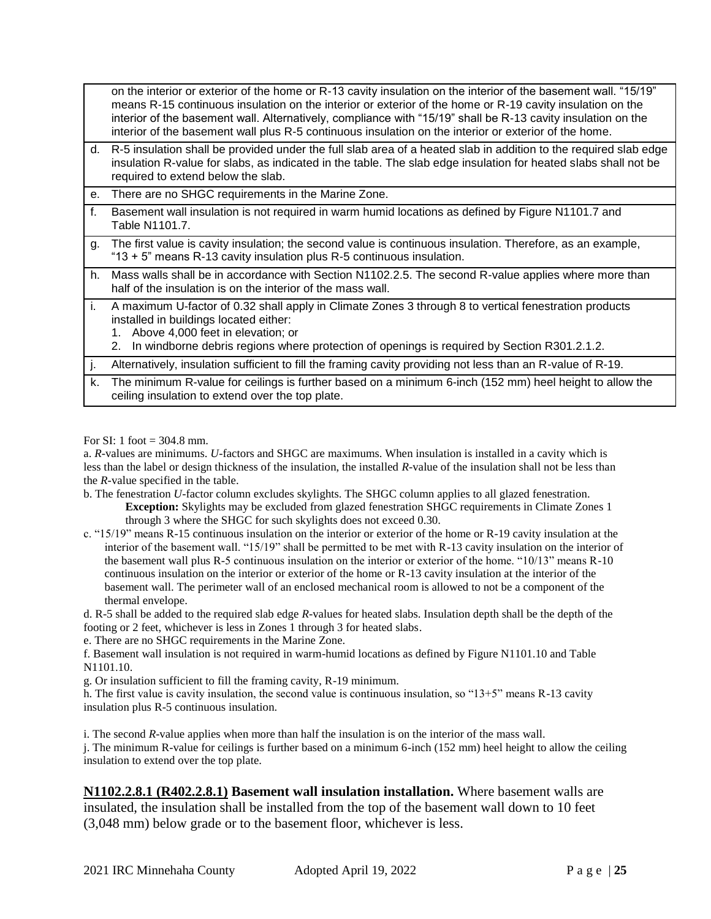|     | on the interior or exterior of the home or R-13 cavity insulation on the interior of the basement wall. "15/19"<br>means R-15 continuous insulation on the interior or exterior of the home or R-19 cavity insulation on the<br>interior of the basement wall. Alternatively, compliance with "15/19" shall be R-13 cavity insulation on the<br>interior of the basement wall plus R-5 continuous insulation on the interior or exterior of the home. |
|-----|-------------------------------------------------------------------------------------------------------------------------------------------------------------------------------------------------------------------------------------------------------------------------------------------------------------------------------------------------------------------------------------------------------------------------------------------------------|
| d.  | R-5 insulation shall be provided under the full slab area of a heated slab in addition to the required slab edge<br>insulation R-value for slabs, as indicated in the table. The slab edge insulation for heated slabs shall not be<br>required to extend below the slab.                                                                                                                                                                             |
| е.  | There are no SHGC requirements in the Marine Zone.                                                                                                                                                                                                                                                                                                                                                                                                    |
| f.  | Basement wall insulation is not required in warm humid locations as defined by Figure N1101.7 and<br>Table N1101.7.                                                                                                                                                                                                                                                                                                                                   |
| g.  | The first value is cavity insulation; the second value is continuous insulation. Therefore, as an example,<br>"13 + 5" means R-13 cavity insulation plus R-5 continuous insulation.                                                                                                                                                                                                                                                                   |
| h.  | Mass walls shall be in accordance with Section N1102.2.5. The second R-value applies where more than<br>half of the insulation is on the interior of the mass wall.                                                                                                                                                                                                                                                                                   |
| Li. | A maximum U-factor of 0.32 shall apply in Climate Zones 3 through 8 to vertical fenestration products<br>installed in buildings located either:<br>Above 4,000 feet in elevation; or<br>$1_{\cdot}$<br>In windborne debris regions where protection of openings is required by Section R301.2.1.2.<br>2.                                                                                                                                              |
| ١j. | Alternatively, insulation sufficient to fill the framing cavity providing not less than an R-value of R-19.                                                                                                                                                                                                                                                                                                                                           |
| k.  | The minimum R-value for ceilings is further based on a minimum 6-inch (152 mm) heel height to allow the<br>ceiling insulation to extend over the top plate.                                                                                                                                                                                                                                                                                           |

For SI: 1 foot = 304.8 mm.

a. *R*-values are minimums. *U*-factors and SHGC are maximums. When insulation is installed in a cavity which is less than the label or design thickness of the insulation, the installed *R*-value of the insulation shall not be less than the *R*-value specified in the table.

b. The fenestration *U*-factor column excludes skylights. The SHGC column applies to all glazed fenestration. **Exception:** Skylights may be excluded from glazed fenestration SHGC requirements in Climate Zones 1 through 3 where the SHGC for such skylights does not exceed 0.30.

c. "15/19" means R-15 continuous insulation on the interior or exterior of the home or R-19 cavity insulation at the interior of the basement wall. "15/19" shall be permitted to be met with R-13 cavity insulation on the interior of the basement wall plus R-5 continuous insulation on the interior or exterior of the home. "10/13" means R-10 continuous insulation on the interior or exterior of the home or R-13 cavity insulation at the interior of the basement wall. The perimeter wall of an enclosed mechanical room is allowed to not be a component of the thermal envelope.

d. R-5 shall be added to the required slab edge *R*-values for heated slabs. Insulation depth shall be the depth of the footing or 2 feet, whichever is less in Zones 1 through 3 for heated slabs.

e. There are no SHGC requirements in the Marine Zone.

f. Basement wall insulation is not required in warm-humid locations as defined by Figure N1101.10 and Table N1101.10.

g. Or insulation sufficient to fill the framing cavity, R-19 minimum.

h. The first value is cavity insulation, the second value is continuous insulation, so "13+5" means R-13 cavity insulation plus R-5 continuous insulation.

i. The second *R*-value applies when more than half the insulation is on the interior of the mass wall.

j. The minimum R-value for ceilings is further based on a minimum 6-inch (152 mm) heel height to allow the ceiling insulation to extend over the top plate.

#### **N1102.2.8.1 (R402.2.8.1) Basement wall insulation installation.** Where basement walls are

insulated, the insulation shall be installed from the top of the basement wall down to 10 feet (3,048 mm) below grade or to the basement floor, whichever is less.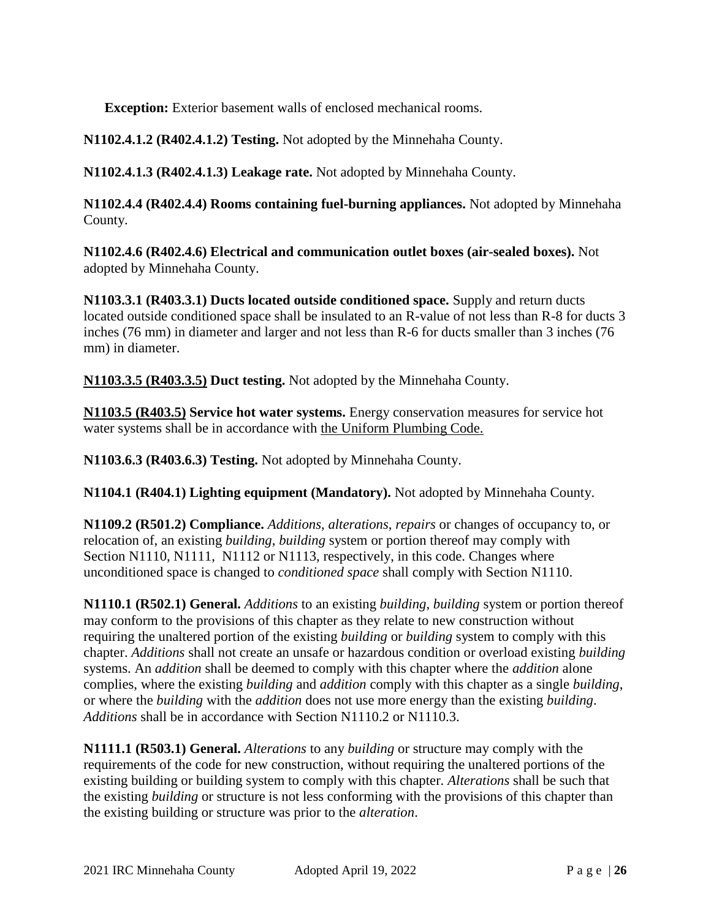**Exception:** Exterior basement walls of enclosed mechanical rooms.

**N1102.4.1.2 (R402.4.1.2) Testing.** Not adopted by the Minnehaha County.

**N1102.4.1.3 (R402.4.1.3) Leakage rate.** Not adopted by Minnehaha County.

**N1102.4.4 (R402.4.4) Rooms containing fuel-burning appliances.** Not adopted by Minnehaha County.

**N1102.4.6 (R402.4.6) Electrical and communication outlet boxes (air-sealed boxes).** Not adopted by Minnehaha County.

**N1103.3.1 (R403.3.1) Ducts located outside conditioned space.** Supply and return ducts located outside conditioned space shall be insulated to an R-value of not less than R-8 for ducts 3 inches (76 mm) in diameter and larger and not less than R-6 for ducts smaller than 3 inches (76 mm) in diameter.

**N1103.3.5 (R403.3.5) Duct testing.** Not adopted by the Minnehaha County.

**N1103.5 (R403.5) Service hot water systems.** Energy conservation measures for service hot water systems shall be in accordance with the Uniform Plumbing Code.

**N1103.6.3 (R403.6.3) Testing.** Not adopted by Minnehaha County.

**N1104.1 (R404.1) Lighting equipment (Mandatory).** Not adopted by Minnehaha County.

**N1109.2 (R501.2) Compliance.** *Additions*, *alterations*, *repairs* or changes of occupancy to, or relocation of, an existing *building*, *building* system or portion thereof may comply with [Section](https://codes.iccsafe.org/lookup/IRC2021P1_Pt04_Ch11_SecN1110/1722) N1110, [N1111,](https://codes.iccsafe.org/lookup/IRC2021P1_Pt04_Ch11_SecN1111/1722) [N1112](https://codes.iccsafe.org/lookup/IRC2021P1_Pt04_Ch11_SecN1112/1722) or [N1113,](https://codes.iccsafe.org/lookup/IRC2021P1_Pt04_Ch11_SecN1113/1722) respectively, in this code. Changes where unconditioned space is changed to *conditioned space* shall comply with [Section N1110.](https://codes.iccsafe.org/lookup/IRC2021P1_Pt04_Ch11_SecN1110/1722)

**N1110.1 (R502.1) General.** *Additions* to an existing *building*, *building* system or portion thereof may conform to the provisions of this chapter as they relate to new construction without requiring the unaltered portion of the existing *building* or *building* system to comply with this chapter. *Additions* shall not create an unsafe or hazardous condition or overload existing *building* systems. An *addition* shall be deemed to comply with this chapter where the *addition* alone complies, where the existing *building* and *addition* comply with this chapter as a single *building*, or where the *building* with the *addition* does not use more energy than the existing *building*. *Additions* shall be in accordance with [Section N1110.2](https://codes.iccsafe.org/lookup/IRC2021P1_Pt04_Ch11_SecN1110.2/1722) or [N1110.3.](https://codes.iccsafe.org/lookup/IRC2021P1_Pt04_Ch11_SecN1110.3/1722)

**N1111.1 (R503.1) General.** *Alterations* to any *building* or structure may comply with the requirements of the code for new construction, without requiring the unaltered portions of the existing building or building system to comply with this chapter. *Alterations* shall be such that the existing *building* or structure is not less conforming with the provisions of this chapter than the existing building or structure was prior to the *alteration*.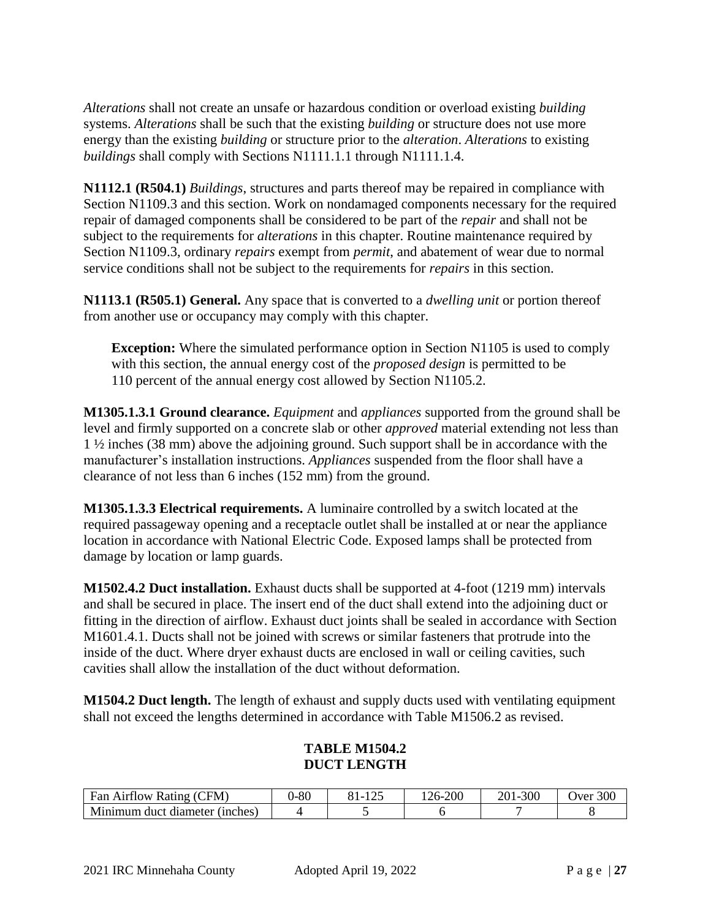*Alterations* shall not create an unsafe or hazardous condition or overload existing *building* systems. *Alterations* shall be such that the existing *building* or structure does not use more energy than the existing *building* or structure prior to the *alteration*. *Alterations* to existing *buildings* shall comply with [Sections N1111.1.1](https://codes.iccsafe.org/lookup/IRC2021P1_Pt04_Ch11_SecN1111.1.1/1722) through [N1111.1.4.](https://codes.iccsafe.org/lookup/IRC2021P1_Pt04_Ch11_SecN1111.1.4/1722)

**N1112.1 (R504.1)** *Buildings*, structures and parts thereof may be repaired in compliance with [Section N1109.3](https://codes.iccsafe.org/lookup/IRC2021P1_Pt04_Ch11_SecN1109.3/1722) and this section. Work on nondamaged components necessary for the required repair of damaged components shall be considered to be part of the *repair* and shall not be subject to the requirements for *alterations* in this chapter. Routine maintenance required by [Section N1109.3,](https://codes.iccsafe.org/lookup/IRC2021P1_Pt04_Ch11_SecN1109.3/1722) ordinary *repairs* exempt from *permit*, and abatement of wear due to normal service conditions shall not be subject to the requirements for *repairs* in this section.

**N1113.1 (R505.1) General.** Any space that is converted to a *dwelling unit* or portion thereof from another use or occupancy may comply with this chapter.

**Exception:** Where the simulated performance option in [Section N1105](https://codes.iccsafe.org/lookup/IRC2021P1_Pt04_Ch11_SecN1105/1722) is used to comply with this section, the annual energy cost of the *proposed design* is permitted to be 110 percent of the annual energy cost allowed by [Section N1105.2.](https://codes.iccsafe.org/lookup/IRC2021P1_Pt04_Ch11_SecN1105.2_TblN1105.2/1722)

**M1305.1.3.1 Ground clearance.** *Equipment* and *appliances* supported from the ground shall be level and firmly supported on a concrete slab or other *approved* material extending not less than 1 ½ inches (38 mm) above the adjoining ground. Such support shall be in accordance with the manufacturer's installation instructions. *Appliances* suspended from the floor shall have a clearance of not less than 6 inches (152 mm) from the ground.

**M1305.1.3.3 Electrical requirements.** A luminaire controlled by a switch located at the required passageway opening and a receptacle outlet shall be installed at or near the appliance location in accordance with National Electric Code. Exposed lamps shall be protected from damage by location or lamp guards.

**M1502.4.2 Duct installation.** Exhaust ducts shall be supported at 4-foot (1219 mm) intervals and shall be secured in place. The insert end of the duct shall extend into the adjoining duct or fitting in the direction of airflow. Exhaust duct joints shall be sealed in accordance with Section M1601.4.1. Ducts shall not be joined with screws or similar fasteners that protrude into the inside of the duct. Where dryer exhaust ducts are enclosed in wall or ceiling cavities, such cavities shall allow the installation of the duct without deformation.

**M1504.2 Duct length.** The length of exhaust and supply ducts used with ventilating equipment shall not exceed the lengths determined in accordance with Table M1506.2 as revised.

# **TABLE M1504.2 DUCT LENGTH**

| (CFM)<br>Airtiow Rating<br>Fan     | $-80$ | $1 \wedge r$<br>$-$ | $-200$<br>$20 - 7$ | 300<br>201- | 300<br>Jver |
|------------------------------------|-------|---------------------|--------------------|-------------|-------------|
| Minimum duct diameter (<br>(nches) |       |                     |                    |             |             |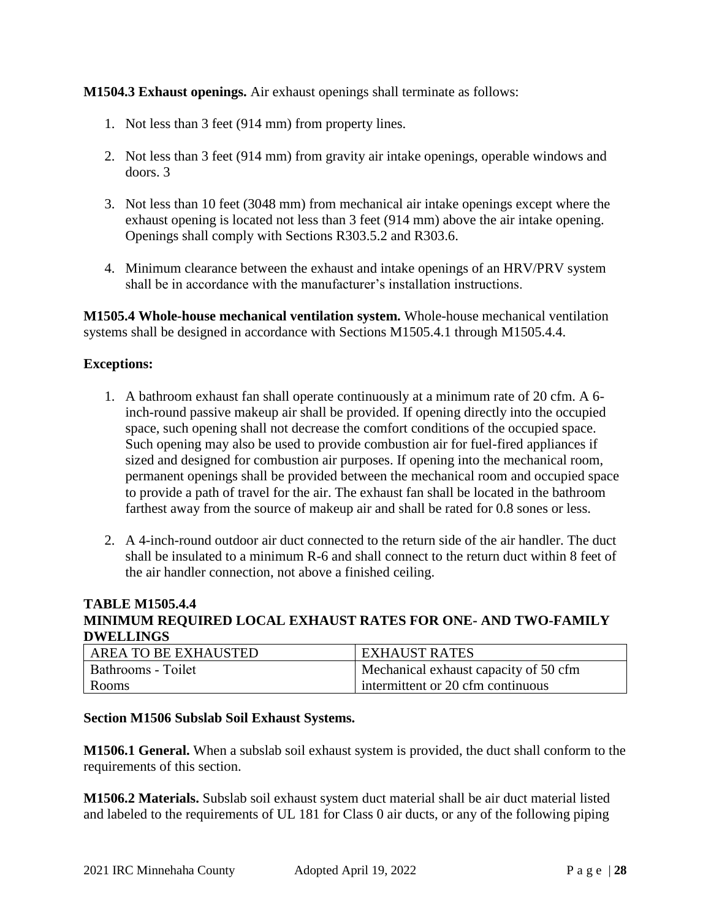**M1504.3 Exhaust openings.** Air exhaust openings shall terminate as follows:

- 1. Not less than 3 feet (914 mm) from property lines.
- 2. Not less than 3 feet (914 mm) from gravity air intake openings, operable windows and doors. 3
- 3. Not less than 10 feet (3048 mm) from mechanical air intake openings except where the exhaust opening is located not less than 3 feet (914 mm) above the air intake opening. Openings shall comply with Sections R303.5.2 and R303.6.
- 4. Minimum clearance between the exhaust and intake openings of an HRV/PRV system shall be in accordance with the manufacturer's installation instructions.

**M1505.4 Whole-house mechanical ventilation system.** Whole-house mechanical ventilation systems shall be designed in accordance with Sections M1505.4.1 through M1505.4.4.

### **Exceptions:**

- 1. A bathroom exhaust fan shall operate continuously at a minimum rate of 20 cfm. A 6 inch-round passive makeup air shall be provided. If opening directly into the occupied space, such opening shall not decrease the comfort conditions of the occupied space. Such opening may also be used to provide combustion air for fuel-fired appliances if sized and designed for combustion air purposes. If opening into the mechanical room, permanent openings shall be provided between the mechanical room and occupied space to provide a path of travel for the air. The exhaust fan shall be located in the bathroom farthest away from the source of makeup air and shall be rated for 0.8 sones or less.
- 2. A 4-inch-round outdoor air duct connected to the return side of the air handler. The duct shall be insulated to a minimum R-6 and shall connect to the return duct within 8 feet of the air handler connection, not above a finished ceiling.

### **TABLE M1505.4.4 MINIMUM REQUIRED LOCAL EXHAUST RATES FOR ONE- AND TWO-FAMILY DWELLINGS**

| AREA TO BE EXHAUSTED | <b>EXHAUST RATES</b>                  |
|----------------------|---------------------------------------|
| Bathrooms - Toilet   | Mechanical exhaust capacity of 50 cfm |
| Rooms                | intermittent or 20 cfm continuous     |

#### **Section M1506 Subslab Soil Exhaust Systems.**

**M1506.1 General.** When a subslab soil exhaust system is provided, the duct shall conform to the requirements of this section.

**M1506.2 Materials.** Subslab soil exhaust system duct material shall be air duct material listed and labeled to the requirements of UL 181 for Class 0 air ducts, or any of the following piping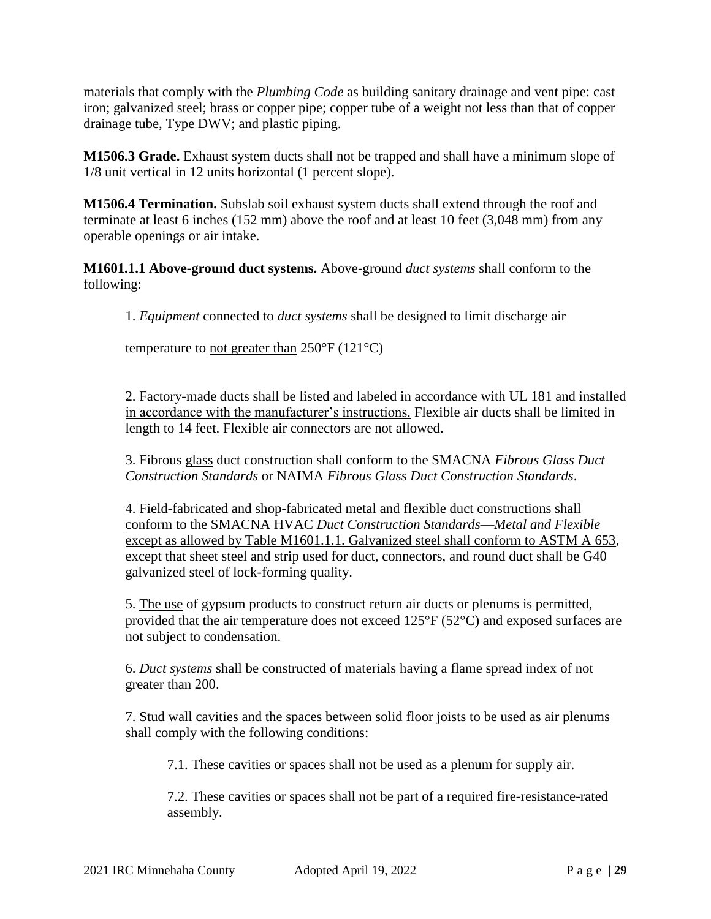materials that comply with the *Plumbing Code* as building sanitary drainage and vent pipe: cast iron; galvanized steel; brass or copper pipe; copper tube of a weight not less than that of copper drainage tube, Type DWV; and plastic piping.

**M1506.3 Grade.** Exhaust system ducts shall not be trapped and shall have a minimum slope of 1/8 unit vertical in 12 units horizontal (1 percent slope).

**M1506.4 Termination.** Subslab soil exhaust system ducts shall extend through the roof and terminate at least 6 inches (152 mm) above the roof and at least 10 feet (3,048 mm) from any operable openings or air intake.

**M1601.1.1 Above-ground duct systems.** Above-ground *duct systems* shall conform to the following:

1. *Equipment* connected to *duct systems* shall be designed to limit discharge air

temperature to not greater than  $250^{\circ}$ F (121 $^{\circ}$ C)

2. Factory-made ducts shall be listed and labeled in accordance with UL 181 and installed in accordance with the manufacturer's instructions. Flexible air ducts shall be limited in length to 14 feet. Flexible air connectors are not allowed.

3. Fibrous glass duct construction shall conform to the SMACNA *Fibrous Glass Duct Construction Standards* or NAIMA *Fibrous Glass Duct Construction Standards*.

4. Field-fabricated and shop-fabricated metal and flexible duct constructions shall conform to the SMACNA HVAC *Duct Construction Standards*—*Metal and Flexible*  except as allowed by Table M1601.1.1. Galvanized steel shall conform to ASTM A 653, except that sheet steel and strip used for duct, connectors, and round duct shall be G40 galvanized steel of lock-forming quality.

5. The use of gypsum products to construct return air ducts or plenums is permitted, provided that the air temperature does not exceed 125°F (52°C) and exposed surfaces are not subject to condensation.

6. *Duct systems* shall be constructed of materials having a flame spread index of not greater than 200.

7. Stud wall cavities and the spaces between solid floor joists to be used as air plenums shall comply with the following conditions:

7.1. These cavities or spaces shall not be used as a plenum for supply air.

7.2. These cavities or spaces shall not be part of a required fire-resistance-rated assembly.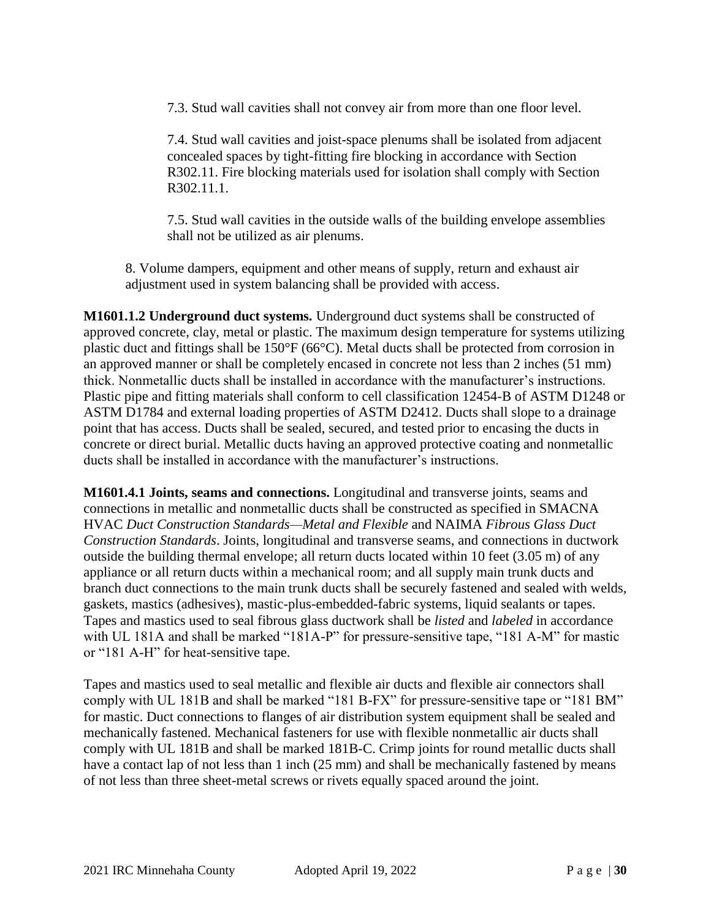7.3. Stud wall cavities shall not convey air from more than one floor level.

7.4. Stud wall cavities and joist-space plenums shall be isolated from adjacent concealed spaces by tight-fitting fire blocking in accordance with Section R302.11. Fire blocking materials used for isolation shall comply with Section R302.11.1.

7.5. Stud wall cavities in the outside walls of the building envelope assemblies shall not be utilized as air plenums.

8. Volume dampers, equipment and other means of supply, return and exhaust air adjustment used in system balancing shall be provided with access.

**M1601.1.2 Underground duct systems.** Underground duct systems shall be constructed of approved concrete, clay, metal or plastic. The maximum design temperature for systems utilizing plastic duct and fittings shall be 150°F (66°C). Metal ducts shall be protected from corrosion in an approved manner or shall be completely encased in concrete not less than 2 inches (51 mm) thick. Nonmetallic ducts shall be installed in accordance with the manufacturer's instructions. Plastic pipe and fitting materials shall conform to cell classification 12454-B of ASTM D1248 or ASTM D1784 and external loading properties of ASTM D2412. Ducts shall slope to a drainage point that has access. Ducts shall be sealed, secured, and tested prior to encasing the ducts in concrete or direct burial. Metallic ducts having an approved protective coating and nonmetallic ducts shall be installed in accordance with the manufacturer's instructions.

**M1601.4.1 Joints, seams and connections.** Longitudinal and transverse joints, seams and connections in metallic and nonmetallic ducts shall be constructed as specified in SMACNA HVAC *Duct Construction Standards—Metal and Flexible* and NAIMA *Fibrous Glass Duct Construction Standards*. Joints, longitudinal and transverse seams, and connections in ductwork outside the building thermal envelope; all return ducts located within 10 feet (3.05 m) of any appliance or all return ducts within a mechanical room; and all supply main trunk ducts and branch duct connections to the main trunk ducts shall be securely fastened and sealed with welds, gaskets, mastics (adhesives), mastic-plus-embedded-fabric systems, liquid sealants or tapes. Tapes and mastics used to seal fibrous glass ductwork shall be *listed* and *labeled* in accordance with UL 181A and shall be marked "181A-P" for pressure-sensitive tape, "181 A-M" for mastic or "181 A-H" for heat-sensitive tape.

Tapes and mastics used to seal metallic and flexible air ducts and flexible air connectors shall comply with UL 181B and shall be marked "181 B-FX" for pressure-sensitive tape or "181 BM" for mastic. Duct connections to flanges of air distribution system equipment shall be sealed and mechanically fastened. Mechanical fasteners for use with flexible nonmetallic air ducts shall comply with UL 181B and shall be marked 181B-C. Crimp joints for round metallic ducts shall have a contact lap of not less than 1 inch (25 mm) and shall be mechanically fastened by means of not less than three sheet-metal screws or rivets equally spaced around the joint.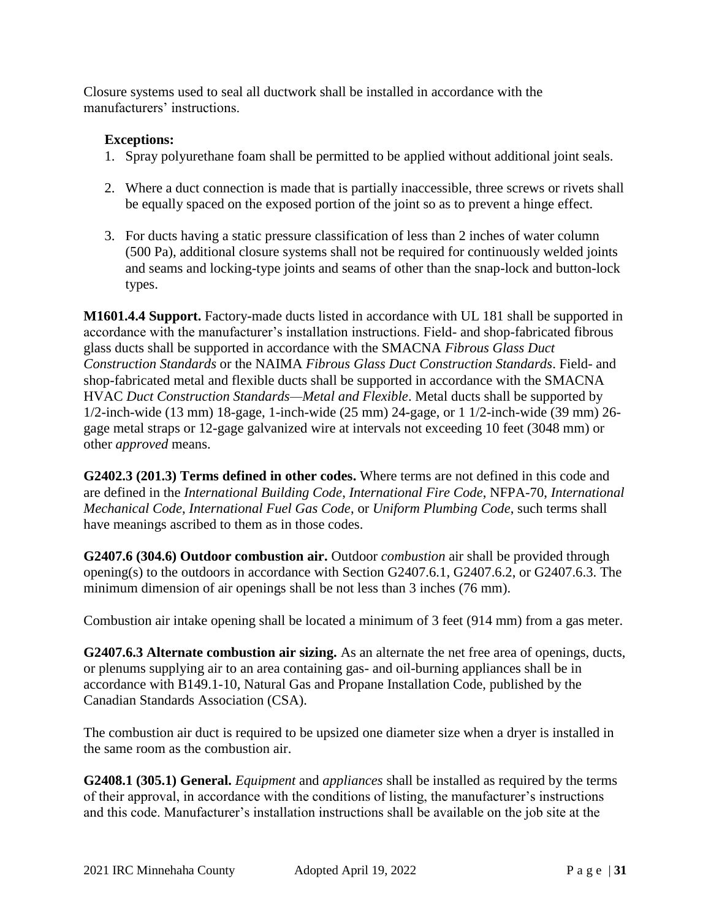Closure systems used to seal all ductwork shall be installed in accordance with the manufacturers' instructions.

### **Exceptions:**

- 1. Spray polyurethane foam shall be permitted to be applied without additional joint seals.
- 2. Where a duct connection is made that is partially inaccessible, three screws or rivets shall be equally spaced on the exposed portion of the joint so as to prevent a hinge effect.
- 3. For ducts having a static pressure classification of less than 2 inches of water column (500 Pa), additional closure systems shall not be required for continuously welded joints and seams and locking-type joints and seams of other than the snap-lock and button-lock types.

**M1601.4.4 Support.** Factory-made ducts listed in accordance with UL 181 shall be supported in accordance with the manufacturer's installation instructions. Field- and shop-fabricated fibrous glass ducts shall be supported in accordance with the SMACNA *Fibrous Glass Duct Construction Standards* or the NAIMA *Fibrous Glass Duct Construction Standards*. Field- and shop-fabricated metal and flexible ducts shall be supported in accordance with the SMACNA HVAC *Duct Construction Standards—Metal and Flexible*. Metal ducts shall be supported by 1/2-inch-wide (13 mm) 18-gage, 1-inch-wide (25 mm) 24-gage, or 1 1/2-inch-wide (39 mm) 26 gage metal straps or 12-gage galvanized wire at intervals not exceeding 10 feet (3048 mm) or other *approved* means.

**G2402.3 (201.3) Terms defined in other codes.** Where terms are not defined in this code and are defined in the *International Building Code*, *International Fire Code*, NFPA-70, *International Mechanical Code*, *International Fuel Gas Code*, or *Uniform Plumbing Code*, such terms shall have meanings ascribed to them as in those codes.

**G2407.6 (304.6) Outdoor combustion air.** Outdoor *combustion* air shall be provided through opening(s) to the outdoors in accordance with Section G2407.6.1, G2407.6.2, or G2407.6.3. The minimum dimension of air openings shall be not less than 3 inches (76 mm).

Combustion air intake opening shall be located a minimum of 3 feet (914 mm) from a gas meter.

**G2407.6.3 Alternate combustion air sizing.** As an alternate the net free area of openings, ducts, or plenums supplying air to an area containing gas- and oil-burning appliances shall be in accordance with B149.1-10, Natural Gas and Propane Installation Code, published by the Canadian Standards Association (CSA).

The combustion air duct is required to be upsized one diameter size when a dryer is installed in the same room as the combustion air.

**G2408.1 (305.1) General.** *Equipment* and *appliances* shall be installed as required by the terms of their approval, in accordance with the conditions of listing, the manufacturer's instructions and this code. Manufacturer's installation instructions shall be available on the job site at the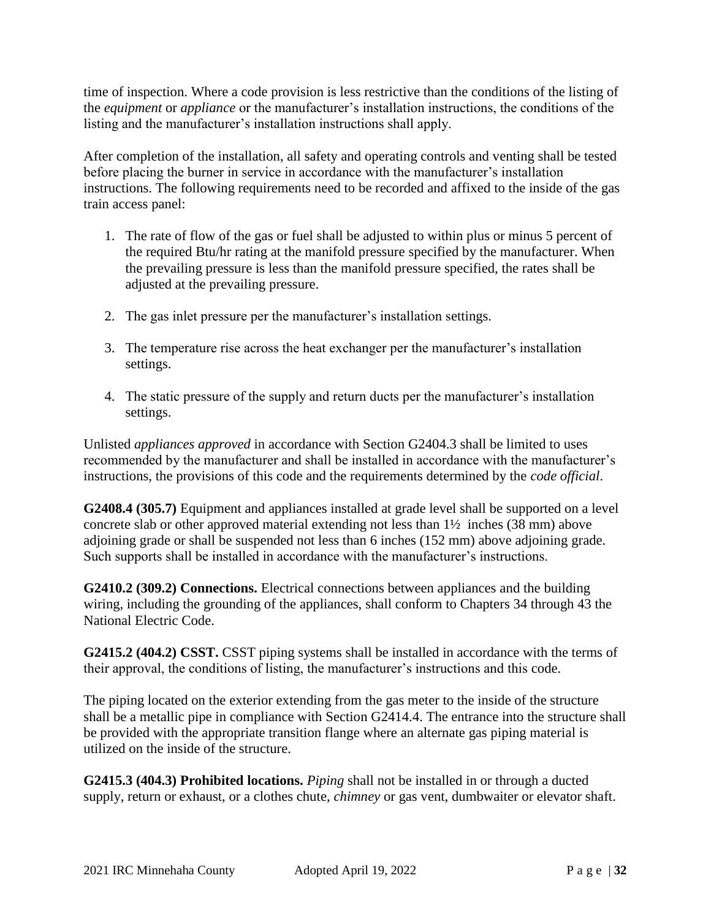time of inspection. Where a code provision is less restrictive than the conditions of the listing of the *equipment* or *appliance* or the manufacturer's installation instructions, the conditions of the listing and the manufacturer's installation instructions shall apply.

After completion of the installation, all safety and operating controls and venting shall be tested before placing the burner in service in accordance with the manufacturer's installation instructions. The following requirements need to be recorded and affixed to the inside of the gas train access panel:

- 1. The rate of flow of the gas or fuel shall be adjusted to within plus or minus 5 percent of the required Btu/hr rating at the manifold pressure specified by the manufacturer. When the prevailing pressure is less than the manifold pressure specified, the rates shall be adjusted at the prevailing pressure.
- 2. The gas inlet pressure per the manufacturer's installation settings.
- 3. The temperature rise across the heat exchanger per the manufacturer's installation settings.
- 4. The static pressure of the supply and return ducts per the manufacturer's installation settings.

Unlisted *appliances approved* in accordance with Section G2404.3 shall be limited to uses recommended by the manufacturer and shall be installed in accordance with the manufacturer's instructions, the provisions of this code and the requirements determined by the *code official*.

**G2408.4 (305.7)** Equipment and appliances installed at grade level shall be supported on a level concrete slab or other approved material extending not less than 1½ inches (38 mm) above adjoining grade or shall be suspended not less than 6 inches (152 mm) above adjoining grade. Such supports shall be installed in accordance with the manufacturer's instructions.

**G2410.2 (309.2) Connections.** Electrical connections between appliances and the building wiring, including the grounding of the appliances, shall conform to Chapters 34 through 43 the National Electric Code.

**G2415.2 (404.2) CSST.** CSST piping systems shall be installed in accordance with the terms of their approval, the conditions of listing, the manufacturer's instructions and this code.

The piping located on the exterior extending from the gas meter to the inside of the structure shall be a metallic pipe in compliance with Section G2414.4. The entrance into the structure shall be provided with the appropriate transition flange where an alternate gas piping material is utilized on the inside of the structure.

**G2415.3 (404.3) Prohibited locations.** *Piping* shall not be installed in or through a ducted supply, return or exhaust, or a clothes chute, *chimney* or gas vent, dumbwaiter or elevator shaft.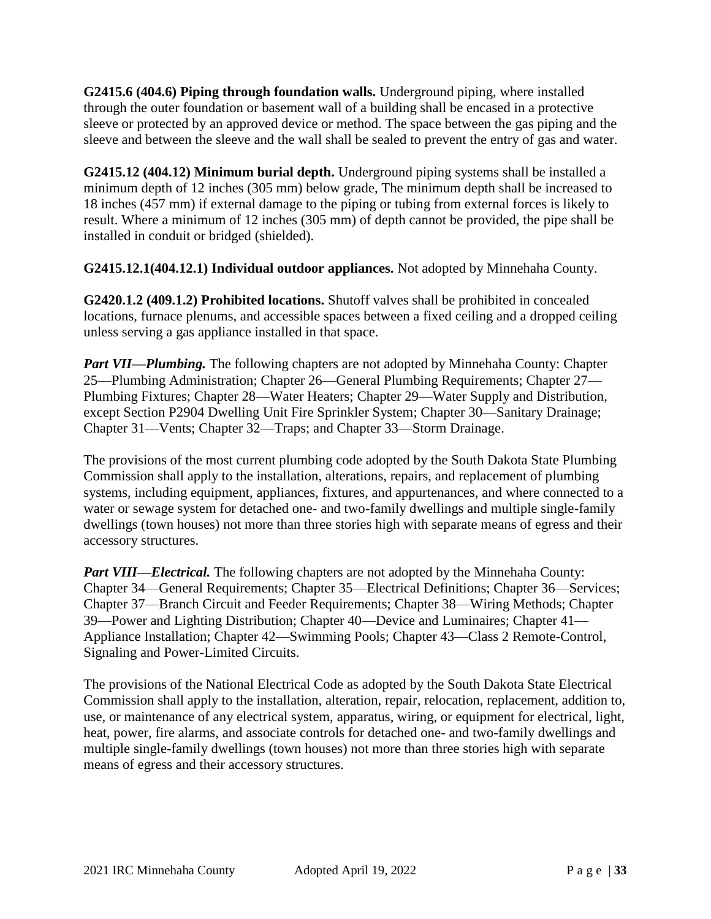**G2415.6 (404.6) Piping through foundation walls.** Underground piping, where installed through the outer foundation or basement wall of a building shall be encased in a protective sleeve or protected by an approved device or method. The space between the gas piping and the sleeve and between the sleeve and the wall shall be sealed to prevent the entry of gas and water.

**G2415.12 (404.12) Minimum burial depth.** Underground piping systems shall be installed a minimum depth of 12 inches (305 mm) below grade, The minimum depth shall be increased to 18 inches (457 mm) if external damage to the piping or tubing from external forces is likely to result. Where a minimum of 12 inches (305 mm) of depth cannot be provided, the pipe shall be installed in conduit or bridged (shielded).

**G2415.12.1(404.12.1) Individual outdoor appliances.** Not adopted by Minnehaha County.

**G2420.1.2 (409.1.2) Prohibited locations.** Shutoff valves shall be prohibited in concealed locations, furnace plenums, and accessible spaces between a fixed ceiling and a dropped ceiling unless serving a gas appliance installed in that space.

*Part VII—Plumbing.* The following chapters are not adopted by Minnehaha County: Chapter 25—Plumbing Administration; Chapter 26—General Plumbing Requirements; Chapter 27— Plumbing Fixtures; Chapter 28—Water Heaters; Chapter 29—Water Supply and Distribution, except Section P2904 Dwelling Unit Fire Sprinkler System; Chapter 30—Sanitary Drainage; Chapter 31—Vents; Chapter 32—Traps; and Chapter 33—Storm Drainage.

The provisions of the most current plumbing code adopted by the South Dakota State Plumbing Commission shall apply to the installation, alterations, repairs, and replacement of plumbing systems, including equipment, appliances, fixtures, and appurtenances, and where connected to a water or sewage system for detached one- and two-family dwellings and multiple single-family dwellings (town houses) not more than three stories high with separate means of egress and their accessory structures.

*Part VIII—Electrical.* The following chapters are not adopted by the Minnehaha County: Chapter 34—General Requirements; Chapter 35—Electrical Definitions; Chapter 36—Services; Chapter 37—Branch Circuit and Feeder Requirements; Chapter 38—Wiring Methods; Chapter 39—Power and Lighting Distribution; Chapter 40—Device and Luminaires; Chapter 41— Appliance Installation; Chapter 42—Swimming Pools; Chapter 43—Class 2 Remote-Control, Signaling and Power-Limited Circuits.

The provisions of the National Electrical Code as adopted by the South Dakota State Electrical Commission shall apply to the installation, alteration, repair, relocation, replacement, addition to, use, or maintenance of any electrical system, apparatus, wiring, or equipment for electrical, light, heat, power, fire alarms, and associate controls for detached one- and two-family dwellings and multiple single-family dwellings (town houses) not more than three stories high with separate means of egress and their accessory structures.